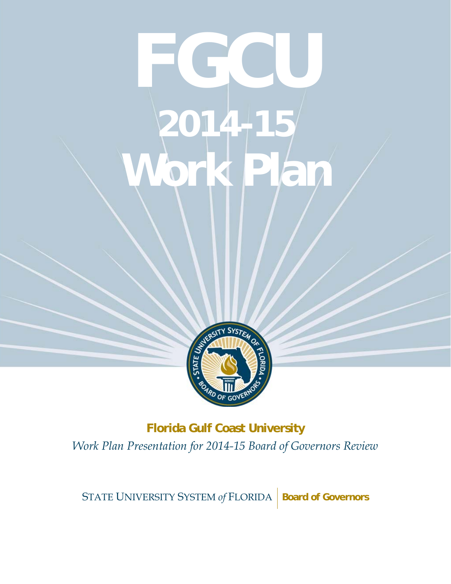# WORK PLAN A **FGCU 2014-15 Work Plan**



**Florida Gulf Coast University** *Work Plan Presentation for 2014-15 Board of Governors Review* 

STATE UNIVERSITY SYSTEM of FLORIDA | Board of Governors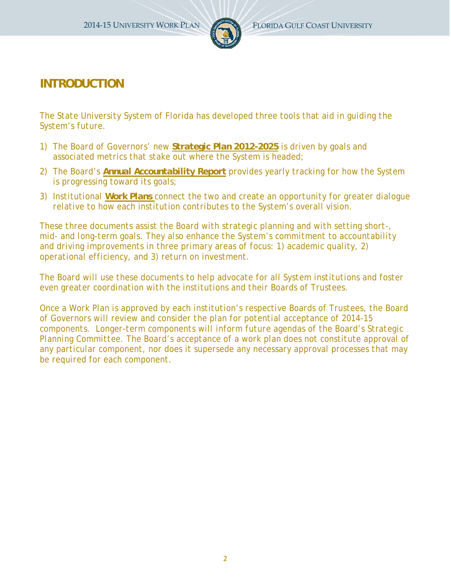

# **INTRODUCTION**

*The State University System of Florida has developed three tools that aid in guiding the System's future.* 

- *1) The Board of Governors' new Strategic Plan 2012-2025 is driven by goals and associated metrics that stake out where the System is headed;*
- *2) The Board's Annual Accountability Report provides yearly tracking for how the System is progressing toward its goals;*
- *3) Institutional Work Plans connect the two and create an opportunity for greater dialogue relative to how each institution contributes to the System's overall vision.*

*These three documents assist the Board with strategic planning and with setting short-, mid- and long-term goals. They also enhance the System's commitment to accountability and driving improvements in three primary areas of focus: 1) academic quality, 2) operational efficiency, and 3) return on investment.* 

*The Board will use these documents to help advocate for all System institutions and foster even greater coordination with the institutions and their Boards of Trustees.* 

*Once a Work Plan is approved by each institution's respective Boards of Trustees, the Board of Governors will review and consider the plan for potential acceptance of 2014-15 components. Longer-term components will inform future agendas of the Board's Strategic Planning Committee. The Board's acceptance of a work plan does not constitute approval of any particular component, nor does it supersede any necessary approval processes that may be required for each component.*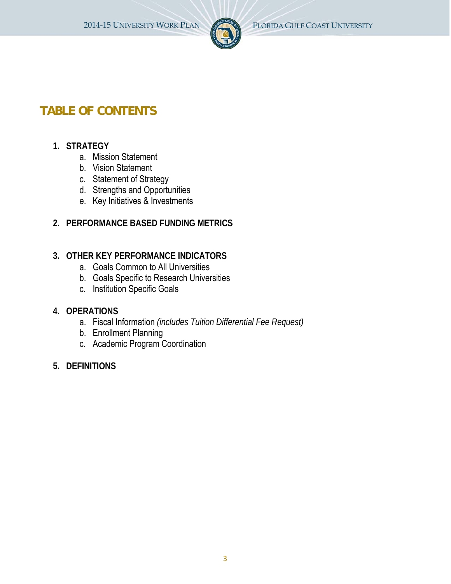

# **TABLE OF CONTENTS**

# **1. STRATEGY**

- a. Mission Statement
- b. Vision Statement
- c. Statement of Strategy
- d. Strengths and Opportunities
- e. Key Initiatives & Investments
- **2. PERFORMANCE BASED FUNDING METRICS**

# **3. OTHER KEY PERFORMANCE INDICATORS**

- a. Goals Common to All Universities
- b. Goals Specific to Research Universities
- c. Institution Specific Goals

# **4. OPERATIONS**

- a. Fiscal Information *(includes Tuition Differential Fee Request)*
- b. Enrollment Planning
- c. Academic Program Coordination
- **5. DEFINITIONS**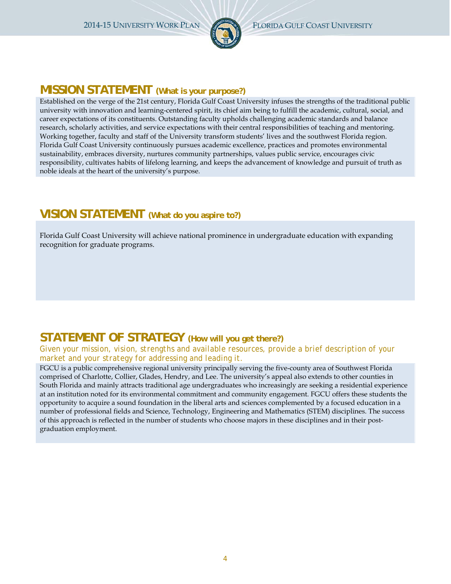

# **MISSION STATEMENT (What is your purpose?)**

Established on the verge of the 21st century, Florida Gulf Coast University infuses the strengths of the traditional public university with innovation and learning-centered spirit, its chief aim being to fulfill the academic, cultural, social, and career expectations of its constituents. Outstanding faculty upholds challenging academic standards and balance research, scholarly activities, and service expectations with their central responsibilities of teaching and mentoring. Working together, faculty and staff of the University transform students' lives and the southwest Florida region. Florida Gulf Coast University continuously pursues academic excellence, practices and promotes environmental sustainability, embraces diversity, nurtures community partnerships, values public service, encourages civic responsibility, cultivates habits of lifelong learning, and keeps the advancement of knowledge and pursuit of truth as noble ideals at the heart of the university's purpose.

# **VISION STATEMENT (What do you aspire to?)**

Florida Gulf Coast University will achieve national prominence in undergraduate education with expanding recognition for graduate programs.

# **STATEMENT OF STRATEGY (How will you get there?)**

### *Given your mission, vision, strengths and available resources, provide a brief description of your market and your strategy for addressing and leading it.*

FGCU is a public comprehensive regional university principally serving the five-county area of Southwest Florida comprised of Charlotte, Collier, Glades, Hendry, and Lee. The university's appeal also extends to other counties in South Florida and mainly attracts traditional age undergraduates who increasingly are seeking a residential experience at an institution noted for its environmental commitment and community engagement. FGCU offers these students the opportunity to acquire a sound foundation in the liberal arts and sciences complemented by a focused education in a number of professional fields and Science, Technology, Engineering and Mathematics (STEM) disciplines. The success of this approach is reflected in the number of students who choose majors in these disciplines and in their postgraduation employment.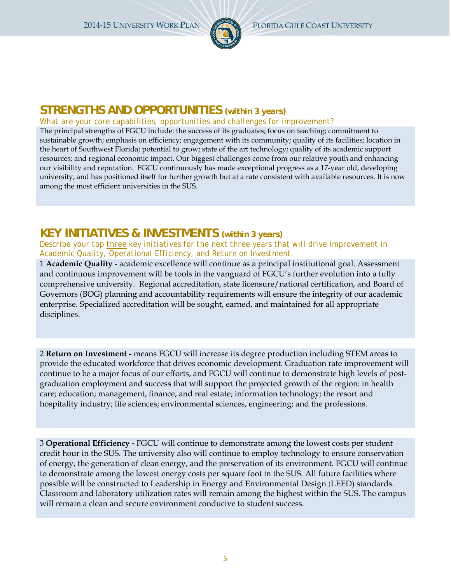

# **STRENGTHS AND OPPORTUNITIES** *(within 3 years)*

### *What are your core capabilities, opportunities and challenges for improvement?*

The principal strengths of FGCU include: the success of its graduates; focus on teaching; commitment to sustainable growth; emphasis on efficiency; engagement with its community; quality of its facilities; location in the heart of Southwest Florida; potential to grow; state of the art technology; quality of its academic support resources; and regional economic impact. Our biggest challenges come from our relative youth and enhancing our visibility and reputation. FGCU continuously has made exceptional progress as a 17-year old, developing university, and has positioned itself for further growth but at a rate consistent with available resources. It is now among the most efficient universities in the SUS.

# **KEY INITIATIVES & INVESTMENTS** *(within 3 years)*

### *Describe your top three key initiatives for the next three years that will drive improvement in Academic Quality, Operational Efficiency, and Return on Investment.*

1 **Academic Quality** - academic excellence will continue as a principal institutional goal. Assessment and continuous improvement will be tools in the vanguard of FGCU's further evolution into a fully comprehensive university. Regional accreditation, state licensure/national certification, and Board of Governors (BOG) planning and accountability requirements will ensure the integrity of our academic enterprise. Specialized accreditation will be sought, earned, and maintained for all appropriate disciplines.

2 **Return on Investment -** means FGCU will increase its degree production including STEM areas to provide the educated workforce that drives economic development. Graduation rate improvement will continue to be a major focus of our efforts, and FGCU will continue to demonstrate high levels of postgraduation employment and success that will support the projected growth of the region: in health care; education; management, finance, and real estate; information technology; the resort and hospitality industry; life sciences; environmental sciences, engineering; and the professions.

3 **Operational Efficiency -** FGCU will continue to demonstrate among the lowest costs per student credit hour in the SUS. The university also will continue to employ technology to ensure conservation of energy, the generation of clean energy, and the preservation of its environment. FGCU will continue to demonstrate among the lowest energy costs per square foot in the SUS. All future facilities where possible will be constructed to Leadership in Energy and Environmental Design (LEED) standards. Classroom and laboratory utilization rates will remain among the highest within the SUS. The campus will remain a clean and secure environment conducive to student success.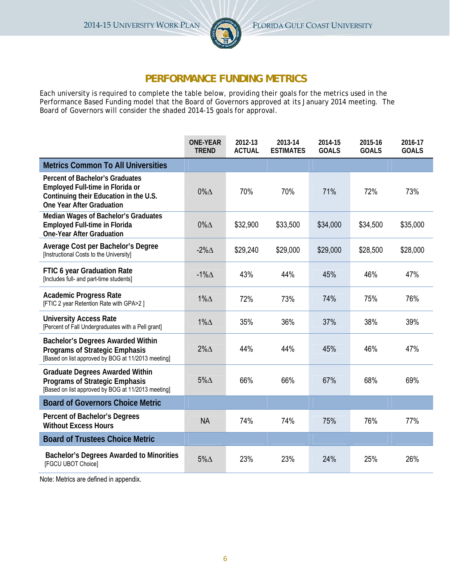

# **PERFORMANCE FUNDING METRICS**

Each university is required to complete the table below, providing their goals for the metrics used in the Performance Based Funding model that the Board of Governors approved at its January 2014 meeting. The Board of Governors will consider the shaded 2014-15 goals for approval.

|                                                                                                                                                          | <b>ONE-YEAR</b><br><b>TREND</b> | 2012-13<br><b>ACTUAL</b> | 2013-14<br><b>ESTIMATES</b> | 2014-15<br><b>GOALS</b> | 2015-16<br><b>GOALS</b> | 2016-17<br><b>GOALS</b> |
|----------------------------------------------------------------------------------------------------------------------------------------------------------|---------------------------------|--------------------------|-----------------------------|-------------------------|-------------------------|-------------------------|
| <b>Metrics Common To All Universities</b>                                                                                                                |                                 |                          |                             |                         |                         |                         |
| <b>Percent of Bachelor's Graduates</b><br>Employed Full-time in Florida or<br>Continuing their Education in the U.S.<br><b>One Year After Graduation</b> | $0\%$ $\triangle$               | 70%                      | 70%                         | 71%                     | 72%                     | 73%                     |
| Median Wages of Bachelor's Graduates<br><b>Employed Full-time in Florida</b><br><b>One-Year After Graduation</b>                                         | $0\%$ $\triangle$               | \$32,900                 | \$33,500                    | \$34,000                | \$34,500                | \$35,000                |
| Average Cost per Bachelor's Degree<br>[Instructional Costs to the University]                                                                            | $-2\% \triangle$                | \$29,240                 | \$29,000                    | \$29,000                | \$28,500                | \$28,000                |
| FTIC 6 year Graduation Rate<br>[Includes full- and part-time students]                                                                                   | $-1\%$ $\triangle$              | 43%                      | 44%                         | 45%                     | 46%                     | 47%                     |
| <b>Academic Progress Rate</b><br>[FTIC 2 year Retention Rate with GPA>2 ]                                                                                | $1\%$ $\triangle$               | 72%                      | 73%                         | 74%                     | 75%                     | 76%                     |
| <b>University Access Rate</b><br>[Percent of Fall Undergraduates with a Pell grant]                                                                      | $1\%$ $\triangle$               | 35%                      | 36%                         | 37%                     | 38%                     | 39%                     |
| <b>Bachelor's Degrees Awarded Within</b><br><b>Programs of Strategic Emphasis</b><br>[Based on list approved by BOG at 11/2013 meeting]                  | $2\%$ $\triangle$               | 44%                      | 44%                         | 45%                     | 46%                     | 47%                     |
| <b>Graduate Degrees Awarded Within</b><br><b>Programs of Strategic Emphasis</b><br>[Based on list approved by BOG at 11/2013 meeting]                    | $5\%$ $\Delta$                  | 66%                      | 66%                         | 67%                     | 68%                     | 69%                     |
| <b>Board of Governors Choice Metric</b>                                                                                                                  |                                 |                          |                             |                         |                         |                         |
| Percent of Bachelor's Degrees<br><b>Without Excess Hours</b>                                                                                             | <b>NA</b>                       | 74%                      | 74%                         | 75%                     | 76%                     | 77%                     |
| <b>Board of Trustees Choice Metric</b>                                                                                                                   |                                 |                          |                             |                         |                         |                         |
| <b>Bachelor's Degrees Awarded to Minorities</b><br>[FGCU UBOT Choice]                                                                                    | $5\% \triangle$                 | 23%                      | 23%                         | 24%                     | 25%                     | 26%                     |

Note: Metrics are defined in appendix.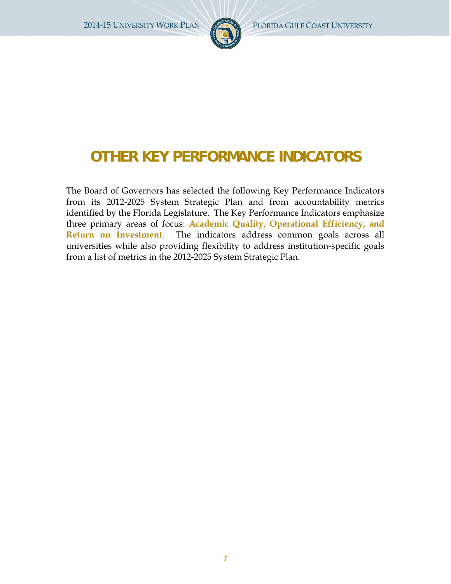

# **OTHER KEY PERFORMANCE INDICATORS**

The Board of Governors has selected the following Key Performance Indicators from its 2012-2025 System Strategic Plan and from accountability metrics identified by the Florida Legislature. The Key Performance Indicators emphasize three primary areas of focus: **Academic Quality, Operational Efficiency, and Return on Investment**. The indicators address common goals across all universities while also providing flexibility to address institution-specific goals from a list of metrics in the 2012-2025 System Strategic Plan.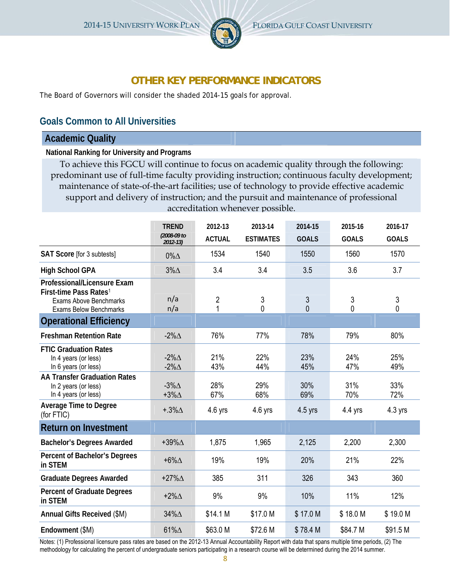

# **OTHER KEY PERFORMANCE INDICATORS**

The Board of Governors will consider the shaded 2014-15 goals for approval.

# **Goals Common to All Universities**

### **Academic Quality**

**National Ranking for University and Programs**

To achieve this FGCU will continue to focus on academic quality through the following: predominant use of full-time faculty providing instruction; continuous faculty development; maintenance of state-of-the-art facilities; use of technology to provide effective academic support and delivery of instruction; and the pursuit and maintenance of professional accreditation whenever possible.

|                                                                                                                                     | <b>TREND</b>                           | 2012-13             | 2013-14             | 2014-15                        | 2015-16      | 2016-17      |
|-------------------------------------------------------------------------------------------------------------------------------------|----------------------------------------|---------------------|---------------------|--------------------------------|--------------|--------------|
|                                                                                                                                     | (2008-09 to<br>$2012 - 13$             | <b>ACTUAL</b>       | <b>ESTIMATES</b>    | <b>GOALS</b>                   | <b>GOALS</b> | <b>GOALS</b> |
| SAT Score [for 3 subtests]                                                                                                          | $0\%$ $\triangle$                      | 1534                | 1540                | 1550                           | 1560         | 1570         |
| <b>High School GPA</b>                                                                                                              | $3\%$ $\triangle$                      | 3.4                 | 3.4                 | 3.5                            | 3.6          | 3.7          |
| Professional/Licensure Exam<br>First-time Pass Rates <sup>1</sup><br><b>Exams Above Benchmarks</b><br><b>Exams Below Benchmarks</b> | n/a<br>n/a                             | $\overline{2}$<br>1 | $\mathfrak{Z}$<br>0 | $\mathfrak{Z}$<br>$\mathbf{0}$ | 3<br>0       | 3<br>0       |
| <b>Operational Efficiency</b>                                                                                                       |                                        |                     |                     |                                |              |              |
| <b>Freshman Retention Rate</b>                                                                                                      | $-2\% \triangle$                       | 76%                 | 77%                 | 78%                            | 79%          | 80%          |
| <b>FTIC Graduation Rates</b><br>In 4 years (or less)<br>In 6 years (or less)                                                        | $-2\% \triangle$<br>$-2\% \triangle$   | 21%<br>43%          | 22%<br>44%          | 23%<br>45%                     | 24%<br>47%   | 25%<br>49%   |
| <b>AA Transfer Graduation Rates</b><br>In 2 years (or less)<br>In 4 years (or less)                                                 | $-3\%$ $\triangle$<br>$+3\% \triangle$ | 28%<br>67%          | 29%<br>68%          | 30%<br>69%                     | 31%<br>70%   | 33%<br>72%   |
| <b>Average Time to Degree</b><br>(for FTIC)                                                                                         | $+.3\% \triangle$                      | $4.6$ yrs           | $4.6$ yrs           | $4.5$ yrs                      | $4.4$ yrs    | $4.3$ yrs    |
| <b>Return on Investment</b>                                                                                                         |                                        |                     |                     |                                |              |              |
| <b>Bachelor's Degrees Awarded</b>                                                                                                   | $+39\%$ $\triangle$                    | 1,875               | 1,965               | 2,125                          | 2,200        | 2,300        |
| Percent of Bachelor's Degrees<br>in STEM                                                                                            | $+6\% \Delta$                          | 19%                 | 19%                 | 20%                            | 21%          | 22%          |
| <b>Graduate Degrees Awarded</b>                                                                                                     | $+27\%$ $\triangle$                    | 385                 | 311                 | 326                            | 343          | 360          |
| <b>Percent of Graduate Degrees</b><br>in STEM                                                                                       | $+2\% \triangle$                       | 9%                  | 9%                  | 10%                            | 11%          | 12%          |
| Annual Gifts Received (\$M)                                                                                                         | 34%∆                                   | \$14.1 M            | \$17.0 M            | \$17.0 M                       | \$18.0 M     | \$19.0 M     |
| Endowment (\$M)                                                                                                                     | 61% $\Delta$                           | \$63.0 M            | \$72.6 M            | \$78.4 M                       | \$84.7 M     | \$91.5 M     |

Notes: (1) Professional licensure pass rates are based on the 2012-13 Annual Accountability Report with data that spans multiple time periods, (2) The methodology for calculating the percent of undergraduate seniors participating in a research course will be determined during the 2014 summer.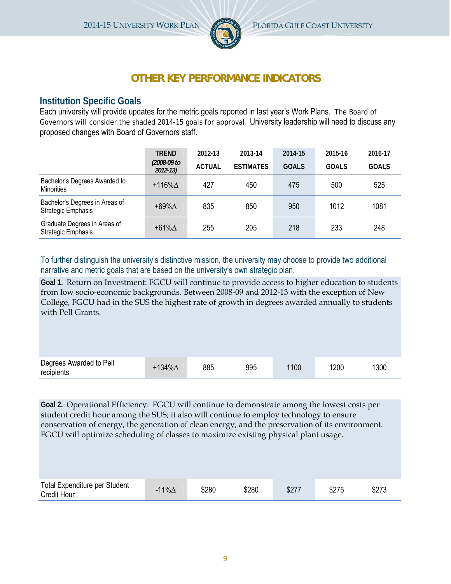

# **OTHER KEY PERFORMANCE INDICATORS**

# **Institution Specific Goals**

Each university will provide updates for the metric goals reported in last year's Work Plans. The Board of Governors will consider the shaded 2014-15 goals for approval. University leadership will need to discuss any proposed changes with Board of Governors staff.

|                                                      | <b>TREND</b>               | 2012-13       | 2013-14          | 2014-15      | 2015-16      | 2016-17      |
|------------------------------------------------------|----------------------------|---------------|------------------|--------------|--------------|--------------|
|                                                      | (2008-09 to<br>$2012 - 13$ | <b>ACTUAL</b> | <b>ESTIMATES</b> | <b>GOALS</b> | <b>GOALS</b> | <b>GOALS</b> |
| Bachelor's Degrees Awarded to<br><b>Minorities</b>   | $+116\%$ $\triangle$       | 427           | 450              | 475          | 500          | 525          |
| Bachelor's Degrees in Areas of<br>Strategic Emphasis | $+69\% \Delta$             | 835           | 850              | 950          | 1012         | 1081         |
| Graduate Degrees in Areas of<br>Strategic Emphasis   | $+61\%$ $\triangle$        | 255           | 205              | 218          | 233          | 248          |

To further distinguish the university's distinctive mission, the university may choose to provide two additional narrative and metric goals that are based on the university's own strategic plan.

**Goal 1.** Return on Investment: FGCU will continue to provide access to higher education to students from low socio-economic backgrounds*.* Between 2008-09 and 2012-13 with the exception of New College, FGCU had in the SUS the highest rate of growth in degrees awarded annually to students with Pell Grants.

| Degrees Awarded to Pell<br>recipients | $+134\%$ $\triangle$ | 885 | 995 | 1100 | 1200 | 1300 |
|---------------------------------------|----------------------|-----|-----|------|------|------|

**Goal 2.** Operational Efficiency: FGCU will continue to demonstrate among the lowest costs per student credit hour among the SUS; it also will continue to employ technology to ensure conservation of energy, the generation of clean energy, and the preservation of its environment. FGCU will optimize scheduling of classes to maximize existing physical plant usage.

| Total Expenditure per Student<br><b>Credit Hour</b> | 11% $\Delta$<br>- | \$280 | \$280 | \$27 | \$275 | \$273 |
|-----------------------------------------------------|-------------------|-------|-------|------|-------|-------|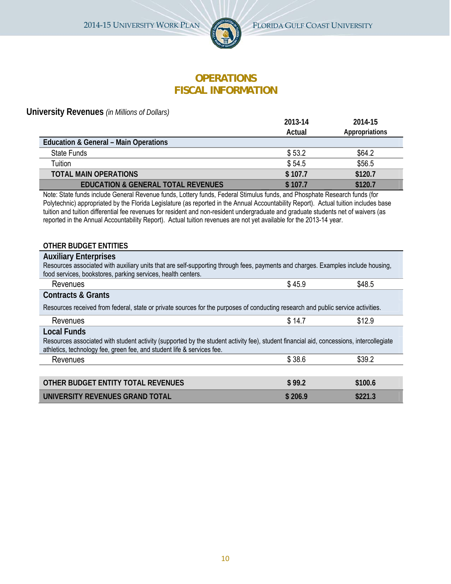

# **OPERATIONS FISCAL INFORMATION**

**University Revenues** *(in Millions of Dollars)* 

|                                                                                                                                                                                                                                                                                                                                                                                                                                                                                                                                                               | 2013-14 | 2014-15        |
|---------------------------------------------------------------------------------------------------------------------------------------------------------------------------------------------------------------------------------------------------------------------------------------------------------------------------------------------------------------------------------------------------------------------------------------------------------------------------------------------------------------------------------------------------------------|---------|----------------|
|                                                                                                                                                                                                                                                                                                                                                                                                                                                                                                                                                               | Actual  | Appropriations |
| <b>Education &amp; General - Main Operations</b>                                                                                                                                                                                                                                                                                                                                                                                                                                                                                                              |         |                |
| <b>State Funds</b>                                                                                                                                                                                                                                                                                                                                                                                                                                                                                                                                            | \$53.2  | \$64.2         |
| Tuition                                                                                                                                                                                                                                                                                                                                                                                                                                                                                                                                                       | \$54.5  | \$56.5         |
| <b>TOTAL MAIN OPERATIONS</b>                                                                                                                                                                                                                                                                                                                                                                                                                                                                                                                                  | \$107.7 | \$120.7        |
| <b>EDUCATION &amp; GENERAL TOTAL REVENUES</b>                                                                                                                                                                                                                                                                                                                                                                                                                                                                                                                 | \$107.7 | \$120.7        |
| Note: State funds include General Revenue funds, Lottery funds, Federal Stimulus funds, and Phosphate Research funds (for<br>Polytechnic) appropriated by the Florida Legislature (as reported in the Annual Accountability Report). Actual tuition includes base<br>tuition and tuition differential fee revenues for resident and non-resident undergraduate and graduate students net of waivers (as<br>reported in the Annual Accountability Report). Actual tuition revenues are not yet available for the 2013-14 year.<br><b>OTHER BUDGET ENTITIES</b> |         |                |
| <b>Auxiliary Enterprises</b><br>Resources associated with auxiliary units that are self-supporting through fees, payments and charges. Examples include housing,                                                                                                                                                                                                                                                                                                                                                                                              |         |                |
| food services, bookstores, parking services, health centers.                                                                                                                                                                                                                                                                                                                                                                                                                                                                                                  |         |                |
| Revenues                                                                                                                                                                                                                                                                                                                                                                                                                                                                                                                                                      | \$45.9  | \$48.5         |
| <b>Contracts &amp; Grants</b>                                                                                                                                                                                                                                                                                                                                                                                                                                                                                                                                 |         |                |
| Resources received from federal, state or private sources for the purposes of conducting research and public service activities.                                                                                                                                                                                                                                                                                                                                                                                                                              |         |                |
| Revenues                                                                                                                                                                                                                                                                                                                                                                                                                                                                                                                                                      | \$14.7  | \$12.9         |
| <b>Local Funds</b><br>Resources associated with student activity (supported by the student activity fee), student financial aid, concessions, intercollegiate<br>athletics, technology fee, green fee, and student life & services fee.                                                                                                                                                                                                                                                                                                                       |         |                |
| Revenues                                                                                                                                                                                                                                                                                                                                                                                                                                                                                                                                                      | \$38.6  | \$39.2         |
|                                                                                                                                                                                                                                                                                                                                                                                                                                                                                                                                                               |         |                |
| OTHER BUDGET ENTITY TOTAL REVENUES                                                                                                                                                                                                                                                                                                                                                                                                                                                                                                                            | \$99.2  | \$100.6        |
| UNIVERSITY REVENUES GRAND TOTAL                                                                                                                                                                                                                                                                                                                                                                                                                                                                                                                               | \$206.9 | \$221.3        |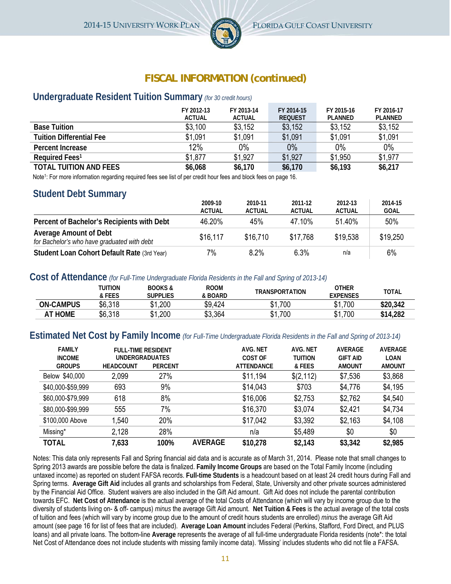

# **FISCAL INFORMATION (continued)**

### **Undergraduate Resident Tuition Summary** *(for 30 credit hours)*

|                                 | FY 2012-13<br><b>ACTUAL</b> | FY 2013-14<br><b>ACTUAL</b> | FY 2014-15<br><b>REQUEST</b> | FY 2015-16<br><b>PLANNED</b> | FY 2016-17<br><b>PLANNED</b> |
|---------------------------------|-----------------------------|-----------------------------|------------------------------|------------------------------|------------------------------|
| <b>Base Tuition</b>             | \$3,100                     | \$3,152                     | \$3,152                      | \$3,152                      | \$3,152                      |
| <b>Tuition Differential Fee</b> | \$1,091                     | \$1,091                     | \$1,091                      | \$1,091                      | \$1,091                      |
| Percent Increase                | 12%                         | 0%                          | $0\%$                        | 0%                           | $0\%$                        |
| Required Fees <sup>1</sup>      | \$1,877                     | \$1,927                     | \$1,927                      | \$1,950                      | \$1,977                      |
| <b>TOTAL TUITION AND FEES</b>   | \$6,068                     | \$6,170                     | \$6,170                      | \$6,193                      | \$6,217                      |

Note1: For more information regarding required fees see list of per credit hour fees and block fees on page 16.

### **Student Debt Summary**

|                                                                              | 2009-10<br><b>ACTUAL</b> | 2010-11<br><b>ACTUAL</b> | 2011-12<br><b>ACTUAL</b> | 2012-13<br><b>ACTUAL</b> | 2014-15<br><b>GOAL</b> |
|------------------------------------------------------------------------------|--------------------------|--------------------------|--------------------------|--------------------------|------------------------|
| Percent of Bachelor's Recipients with Debt                                   | 46.20%                   | 45%                      | 47.10%                   | 51.40%                   | 50%                    |
| <b>Average Amount of Debt</b><br>for Bachelor's who have graduated with debt | \$16.117                 | \$16.710                 | \$17.768                 | \$19.538                 | \$19,250               |
| Student Loan Cohort Default Rate (3rd Year)                                  | 7%                       | 8.2%                     | 6.3%                     | n/a                      | 6%                     |

### **Cost of Attendance** *(for Full-Time Undergraduate Florida Residents in the Fall and Spring of 2013-14)*

|                  | TUITION<br>& FEES | <b>BOOKS&amp;</b><br>Supplies | <b>ROOM</b><br>& BOARD | <b>TRANSPORTATION</b> | OTHER<br>EXPENSES | TOTAL    |
|------------------|-------------------|-------------------------------|------------------------|-----------------------|-------------------|----------|
| <b>ON-CAMPUS</b> | \$6,318           | \$1,200<br>ሰ 4                | \$9,424                | \$1,700               | \$1,700           | \$20,342 |
| <b>AT HOME</b>   | \$6,318           | \$1,200                       | \$3,364                | \$1,700               | \$1,700           | \$14,282 |

### **Estimated Net Cost by Family Income** *(for Full-Time Undergraduate Florida Residents in the Fall and Spring of 2013-14)*

| <b>FAMILY</b><br><b>INCOME</b> | <b>FULL-TIME RESIDENT</b><br><b>UNDERGRADUATES</b> |                |                | AVG. NET<br>COST OF | AVG. NET<br><b>TUITION</b> | <b>AVERAGE</b><br><b>GIFT AID</b> | <b>AVERAGE</b><br>LOAN |
|--------------------------------|----------------------------------------------------|----------------|----------------|---------------------|----------------------------|-----------------------------------|------------------------|
| <b>GROUPS</b>                  | <b>HEADCOUNT</b>                                   | <b>PERCENT</b> |                | <b>ATTENDANCE</b>   | & FEES                     | <b>AMOUNT</b>                     | AMOUNT                 |
| Below \$40,000                 | 2,099                                              | 27%            |                | \$11,194            | \$(2,112)                  | \$7,536                           | \$3,868                |
| \$40,000-\$59,999              | 693                                                | 9%             |                | \$14,043            | \$703                      | \$4,776                           | \$4,195                |
| \$60,000-\$79,999              | 618                                                | 8%             |                | \$16,006            | \$2,753                    | \$2,762                           | \$4,540                |
| \$80,000-\$99,999              | 555                                                | 7%             |                | \$16,370            | \$3,074                    | \$2,421                           | \$4,734                |
| \$100,000 Above                | 1,540                                              | 20%            |                | \$17,042            | \$3,392                    | \$2,163                           | \$4,108                |
| Missing*                       | 2,128                                              | 28%            |                | n/a                 | \$5,489                    | \$0                               | \$0                    |
| <b>TOTAL</b>                   | 7,633                                              | 100%           | <b>AVERAGE</b> | \$10,278            | \$2,143                    | \$3,342                           | \$2,985                |

Notes: This data only represents Fall and Spring financial aid data and is accurate as of March 31, 2014. Please note that small changes to Spring 2013 awards are possible before the data is finalized. **Family Income Groups** are based on the Total Family Income (including untaxed income) as reported on student FAFSA records. **Full-time Students** is a headcount based on at least 24 credit hours during Fall and Spring terms. **Average Gift Aid** includes all grants and scholarships from Federal, State, University and other private sources administered by the Financial Aid Office. Student waivers are also included in the Gift Aid amount. Gift Aid does not include the parental contribution towards EFC. **Net Cost of Attendance** is the actual average of the total Costs of Attendance (which will vary by income group due to the diversity of students living on- & off- campus) *minus* the average Gift Aid amount. **Net Tuition & Fees** is the actual average of the total costs of tuition and fees (which will vary by income group due to the amount of credit hours students are enrolled) *minus* the average Gift Aid amount (see page 16 for list of fees that are included). **Average Loan Amount** includes Federal (Perkins, Stafford, Ford Direct, and PLUS loans) and all private loans. The bottom-line **Average** represents the average of all full-time undergraduate Florida residents (note\*: the total Net Cost of Attendance does not include students with missing family income data). 'Missing' includes students who did not file a FAFSA.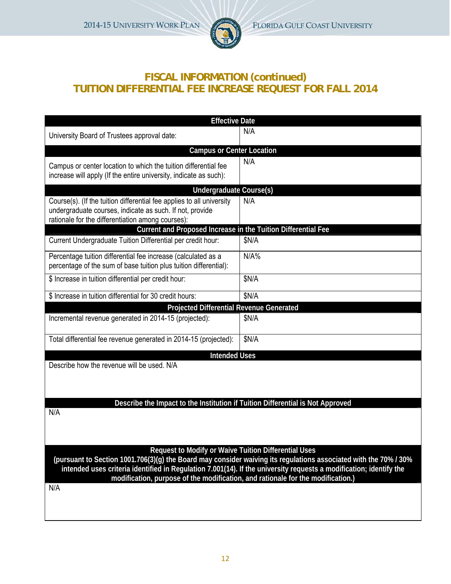

# **FISCAL INFORMATION (continued) TUITION DIFFERENTIAL FEE INCREASE REQUEST FOR FALL 2014**

| <b>Effective Date</b>                                                                                                                                                                                                                                                                                                     |       |
|---------------------------------------------------------------------------------------------------------------------------------------------------------------------------------------------------------------------------------------------------------------------------------------------------------------------------|-------|
| University Board of Trustees approval date:                                                                                                                                                                                                                                                                               | N/A   |
| <b>Campus or Center Location</b>                                                                                                                                                                                                                                                                                          |       |
| Campus or center location to which the tuition differential fee<br>increase will apply (If the entire university, indicate as such):                                                                                                                                                                                      | N/A   |
| Undergraduate Course(s)                                                                                                                                                                                                                                                                                                   |       |
| Course(s). (If the tuition differential fee applies to all university<br>undergraduate courses, indicate as such. If not, provide<br>rationale for the differentiation among courses):                                                                                                                                    | N/A   |
| Current and Proposed Increase in the Tuition Differential Fee                                                                                                                                                                                                                                                             |       |
| Current Undergraduate Tuition Differential per credit hour:                                                                                                                                                                                                                                                               | \$N/A |
| Percentage tuition differential fee increase (calculated as a<br>percentage of the sum of base tuition plus tuition differential):                                                                                                                                                                                        | N/A%  |
| \$ Increase in tuition differential per credit hour:                                                                                                                                                                                                                                                                      | \$N/A |
| \$ Increase in tuition differential for 30 credit hours:                                                                                                                                                                                                                                                                  | \$N/A |
| <b>Projected Differential Revenue Generated</b>                                                                                                                                                                                                                                                                           |       |
| Incremental revenue generated in 2014-15 (projected):                                                                                                                                                                                                                                                                     | \$N/A |
| Total differential fee revenue generated in 2014-15 (projected):                                                                                                                                                                                                                                                          | \$N/A |
| <b>Intended Uses</b>                                                                                                                                                                                                                                                                                                      |       |
| Describe how the revenue will be used. N/A                                                                                                                                                                                                                                                                                |       |
|                                                                                                                                                                                                                                                                                                                           |       |
|                                                                                                                                                                                                                                                                                                                           |       |
| Describe the Impact to the Institution if Tuition Differential is Not Approved                                                                                                                                                                                                                                            |       |
| N/A                                                                                                                                                                                                                                                                                                                       |       |
|                                                                                                                                                                                                                                                                                                                           |       |
|                                                                                                                                                                                                                                                                                                                           |       |
| Request to Modify or Waive Tuition Differential Uses                                                                                                                                                                                                                                                                      |       |
| (pursuant to Section 1001.706(3)(g) the Board may consider waiving its regulations associated with the 70% / 30%<br>intended uses criteria identified in Regulation 7.001(14). If the university requests a modification; identify the<br>modification, purpose of the modification, and rationale for the modification.) |       |
| N/A                                                                                                                                                                                                                                                                                                                       |       |
|                                                                                                                                                                                                                                                                                                                           |       |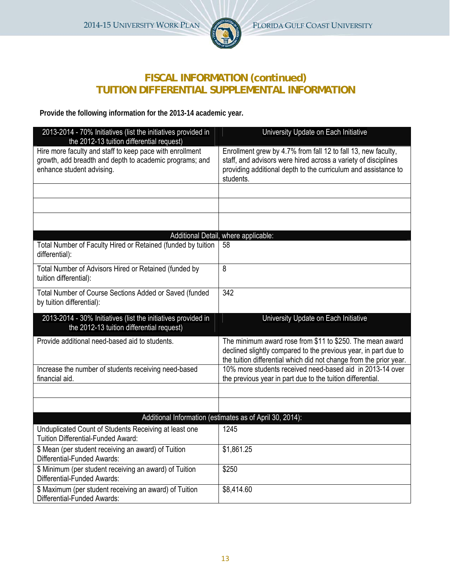

# **FISCAL INFORMATION (continued) TUITION DIFFERENTIAL SUPPLEMENTAL INFORMATION**

**Provide the following information for the 2013-14 academic year.** 

| 2013-2014 - 70% Initiatives (list the initiatives provided in<br>the 2012-13 tuition differential request)                                       | University Update on Each Initiative                                                                                                                                                                           |
|--------------------------------------------------------------------------------------------------------------------------------------------------|----------------------------------------------------------------------------------------------------------------------------------------------------------------------------------------------------------------|
| Hire more faculty and staff to keep pace with enrollment<br>growth, add breadth and depth to academic programs; and<br>enhance student advising. | Enrollment grew by 4.7% from fall 12 to fall 13, new faculty,<br>staff, and advisors were hired across a variety of disciplines<br>providing additional depth to the curriculum and assistance to<br>students. |
|                                                                                                                                                  |                                                                                                                                                                                                                |
|                                                                                                                                                  |                                                                                                                                                                                                                |
|                                                                                                                                                  |                                                                                                                                                                                                                |
|                                                                                                                                                  | Additional Detail, where applicable:                                                                                                                                                                           |
| Total Number of Faculty Hired or Retained (funded by tuition<br>differential):                                                                   | 58                                                                                                                                                                                                             |
| Total Number of Advisors Hired or Retained (funded by<br>tuition differential):                                                                  | 8                                                                                                                                                                                                              |
| Total Number of Course Sections Added or Saved (funded<br>by tuition differential):                                                              | 342                                                                                                                                                                                                            |
|                                                                                                                                                  |                                                                                                                                                                                                                |
| 2013-2014 - 30% Initiatives (list the initiatives provided in<br>the 2012-13 tuition differential request)                                       | University Update on Each Initiative                                                                                                                                                                           |
| Provide additional need-based aid to students.                                                                                                   | The minimum award rose from \$11 to \$250. The mean award<br>declined slightly compared to the previous year, in part due to<br>the tuition differential which did not change from the prior year.             |
| Increase the number of students receiving need-based<br>financial aid.                                                                           | 10% more students received need-based aid in 2013-14 over                                                                                                                                                      |
|                                                                                                                                                  | the previous year in part due to the tuition differential.                                                                                                                                                     |
|                                                                                                                                                  |                                                                                                                                                                                                                |
|                                                                                                                                                  | Additional Information (estimates as of April 30, 2014):                                                                                                                                                       |
| Unduplicated Count of Students Receiving at least one<br>Tuition Differential-Funded Award:                                                      | 1245                                                                                                                                                                                                           |
| \$ Mean (per student receiving an award) of Tuition<br>Differential-Funded Awards:                                                               | \$1,861.25                                                                                                                                                                                                     |
| \$ Minimum (per student receiving an award) of Tuition<br>Differential-Funded Awards:                                                            | \$250                                                                                                                                                                                                          |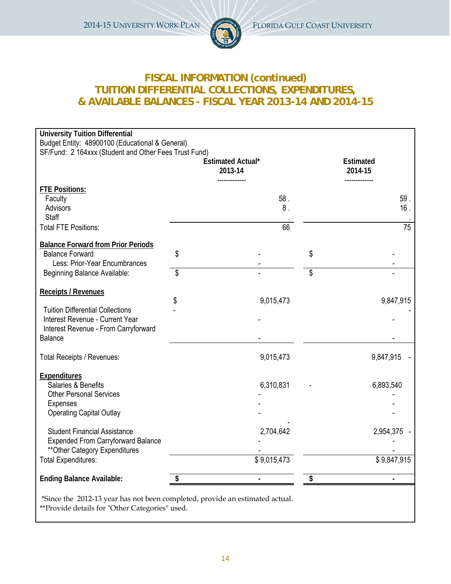

# **FISCAL INFORMATION (continued) TUITION DIFFERENTIAL COLLECTIONS, EXPENDITURES, & AVAILABLE BALANCES - FISCAL YEAR 2013-14 AND 2014-15**

| <b>University Tuition Differential</b><br>Budget Entity: 48900100 (Educational & General)<br>SF/Fund: 2 164xxx (Student and Other Fees Trust Fund) |                                     |                             |             |
|----------------------------------------------------------------------------------------------------------------------------------------------------|-------------------------------------|-----------------------------|-------------|
|                                                                                                                                                    | <b>Estimated Actual*</b><br>2013-14 | <b>Estimated</b><br>2014-15 |             |
| <b>FTE Positions:</b><br>Faculty<br>Advisors<br><b>Staff</b>                                                                                       | 58.<br>8.                           |                             | 59.<br>16.  |
| <b>Total FTE Positions:</b>                                                                                                                        | 66                                  |                             | 75          |
| <b>Balance Forward from Prior Periods</b><br><b>Balance Forward</b><br>Less: Prior-Year Encumbrances                                               | \$                                  | \$                          |             |
| Beginning Balance Available:                                                                                                                       | \$                                  | \$                          |             |
| <b>Receipts / Revenues</b>                                                                                                                         | \$<br>9,015,473                     |                             | 9,847,915   |
| <b>Tuition Differential Collections</b><br>Interest Revenue - Current Year<br>Interest Revenue - From Carryforward<br><b>Balance</b>               |                                     |                             |             |
| Total Receipts / Revenues:                                                                                                                         | 9,015,473                           |                             | 9,847,915   |
| <b>Expenditures</b><br>Salaries & Benefits<br><b>Other Personal Services</b><br>Expenses<br><b>Operating Capital Outlay</b>                        | 6,310,831                           |                             | 6,893,540   |
| <b>Student Financial Assistance</b><br><b>Expended From Carryforward Balance</b><br>** Other Category Expenditures                                 | 2,704,642                           |                             | 2,954,375 - |
| <b>Total Expenditures:</b>                                                                                                                         | \$9,015,473                         |                             | \$9,847,915 |
| <b>Ending Balance Available:</b>                                                                                                                   | \$                                  | \$                          | ä,          |
| *Since the 2012-13 year has not been completed, provide an estimated actual.<br>** Provide details for "Other Categories" used.                    |                                     |                             |             |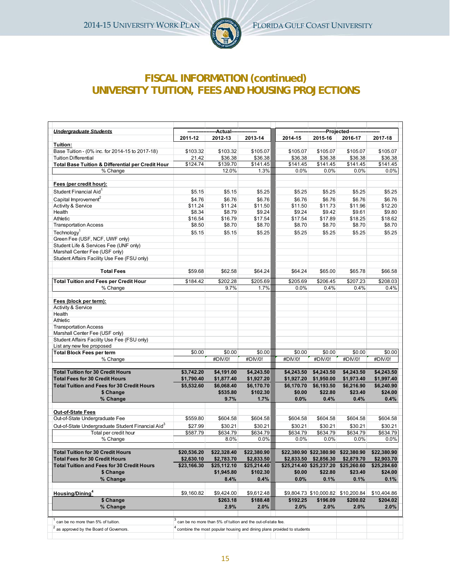

# **FISCAL INFORMATION (continued) UNIVERSITY TUITION, FEES AND HOUSING PROJECTIONS**

| <b>Undergraduate Students</b>                                 |             | -Actual-    |                                                                                     |                      |                         | -Projected----                      |             |
|---------------------------------------------------------------|-------------|-------------|-------------------------------------------------------------------------------------|----------------------|-------------------------|-------------------------------------|-------------|
|                                                               | 2011-12     | 2012-13     | 2013-14                                                                             | 2014-15              | 2015-16                 | 2016-17                             | 2017-18     |
| Tuition:                                                      |             |             |                                                                                     |                      |                         |                                     |             |
| Base Tuition - (0% inc. for 2014-15 to 2017-18)               | \$103.32    | \$103.32    | \$105.07                                                                            | \$105.07             | \$105.07                | \$105.07                            | \$105.07    |
| <b>Tuition Differential</b>                                   | 21.42       | \$36.38     | \$36.38                                                                             | \$36.38              | \$36.38                 | \$36.38                             | \$36.38     |
| <b>Total Base Tuition &amp; Differential per Credit Hour</b>  | \$124.74    | \$139.70    | \$141.45                                                                            | $\overline{$}141.45$ | \$141.45                | \$141.45                            | \$141.45    |
| % Change                                                      |             | 12.0%       | 1.3%                                                                                | 0.0%                 | 0.0%                    | 0.0%                                | 0.0%        |
| Fees (per credit hour):                                       |             |             |                                                                                     |                      |                         |                                     |             |
| Student Financial Aid <sup>1</sup>                            | \$5.15      | \$5.15      | \$5.25                                                                              | \$5.25               | \$5.25                  | \$5.25                              | \$5.25      |
| Capital Improvement <sup>2</sup>                              | \$4.76      | \$6.76      | \$6.76                                                                              | \$6.76               | \$6.76                  | \$6.76                              | \$6.76      |
| <b>Activity &amp; Service</b>                                 | \$11.24     | \$11.24     | \$11.50                                                                             | \$11.50              | \$11.73                 | \$11.96                             | \$12.20     |
| Health                                                        | \$8.34      | \$8.79      | \$9.24                                                                              | \$9.24               | \$9.42                  | \$9.61                              | \$9.80      |
| Athletic                                                      | \$16.54     | \$16.79     | \$17.54                                                                             | \$17.54              | \$17.89                 | \$18.25                             | \$18.62     |
| <b>Transportation Access</b>                                  | \$8.50      | \$8.70      | \$8.70                                                                              | \$8.70               | \$8.70                  | \$8.70                              | \$8.70      |
| Technology <sup>1</sup>                                       | \$5.15      | \$5.15      | \$5.25                                                                              | \$5.25               | \$5.25                  | \$5.25                              | \$5.25      |
| Green Fee (USF, NCF, UWF only)                                |             |             |                                                                                     |                      |                         |                                     |             |
| Student Life & Services Fee (UNF only)                        |             |             |                                                                                     |                      |                         |                                     |             |
| Marshall Center Fee (USF only)                                |             |             |                                                                                     |                      |                         |                                     |             |
| Student Affairs Facility Use Fee (FSU only)                   |             |             |                                                                                     |                      |                         |                                     |             |
| <b>Total Fees</b>                                             | \$59.68     | \$62.58     | \$64.24                                                                             | \$64.24              | \$65.00                 | \$65.78                             | \$66.58     |
| <b>Total Tuition and Fees per Credit Hour</b>                 | \$184.42    | \$202.28    | \$205.69                                                                            | \$205.69             | $\overline{$}206.45$    | \$207.23                            | \$208.03    |
| % Change                                                      |             | 9.7%        | 1.7%                                                                                | 0.0%                 | 0.4%                    | 0.4%                                | 0.4%        |
|                                                               |             |             |                                                                                     |                      |                         |                                     |             |
| Fees (block per term):                                        |             |             |                                                                                     |                      |                         |                                     |             |
| <b>Activity &amp; Service</b>                                 |             |             |                                                                                     |                      |                         |                                     |             |
| Health                                                        |             |             |                                                                                     |                      |                         |                                     |             |
| Athletic                                                      |             |             |                                                                                     |                      |                         |                                     |             |
| <b>Transportation Access</b>                                  |             |             |                                                                                     |                      |                         |                                     |             |
| Marshall Center Fee (USF only)                                |             |             |                                                                                     |                      |                         |                                     |             |
| Student Affairs Facility Use Fee (FSU only)                   |             |             |                                                                                     |                      |                         |                                     |             |
| List any new fee proposed                                     |             |             |                                                                                     |                      |                         |                                     |             |
| <b>Total Block Fees per term</b>                              | \$0.00      | \$0.00      | \$0.00                                                                              | \$0.00               | \$0.00                  | \$0.00                              | \$0.00      |
| % Change                                                      |             | #DIV/0!     | #DM/0!                                                                              | #DN/0!               | #DM/0!                  | #DM/0!                              | #DIV/0!     |
| <b>Total Tuition for 30 Credit Hours</b>                      | \$3,742.20  | \$4,191.00  | \$4,243.50                                                                          | \$4,243.50           | \$4,243.50              | \$4,243.50                          | \$4,243.50  |
| <b>Total Fees for 30 Credit Hours</b>                         | \$1,790.40  | \$1,877.40  | \$1,927.20                                                                          | \$1,927.20           | \$1,950.00              | \$1,973.40                          | \$1,997.40  |
| <b>Total Tuition and Fees for 30 Credit Hours</b>             | \$5,532.60  | \$6,068.40  | \$6,170.70                                                                          | \$6,170.70           | \$6,193.50              | \$6,216.90                          | \$6,240.90  |
| \$ Change                                                     |             | \$535.80    | \$102.30                                                                            | \$0.00               | \$22.80                 | \$23.40                             | \$24.00     |
| % Change                                                      |             | 9.7%        | 1.7%                                                                                | 0.0%                 | 0.4%                    | 0.4%                                | 0.4%        |
|                                                               |             |             |                                                                                     |                      |                         |                                     |             |
| <b>Out-of-State Fees</b>                                      |             |             |                                                                                     |                      |                         |                                     |             |
| Out-of-State Undergraduate Fee                                | \$559.80    | \$604.58    | \$604.58                                                                            | \$604.58             | \$604.58                | \$604.58                            | \$604.58    |
| Out-of-State Undergraduate Student Financial Aid <sup>3</sup> | \$27.99     | \$30.21     | \$30.21                                                                             | \$30.21              | \$30.21                 | \$30.21                             | \$30.21     |
| Total per credit hour                                         | \$587.79    | \$634.79    | \$634.79                                                                            | \$634.79             | \$634.79                | \$634.79                            | \$634.79    |
| % Change                                                      |             | 8.0%        | 0.0%                                                                                | 0.0%                 | 0.0%                    | 0.0%                                | 0.0%        |
| Total Tuition for 30 Credit Hours                             | \$20,536.20 | \$22,328.40 | \$22,380.90                                                                         |                      |                         | \$22,380.90 \$22,380.90 \$22,380.90 | \$22,380.90 |
| <b>Total Fees for 30 Credit Hours</b>                         | \$2,630.10  | \$2,783.70  | \$2,833.50                                                                          |                      | \$2,833.50 \$2,856.30   | \$2,879.70                          | \$2,903.70  |
| <b>Total Tuition and Fees for 30 Credit Hours</b>             | \$23,166.30 | \$25,112.10 | \$25,214.40                                                                         |                      | \$25,214.40 \$25,237.20 | \$25,260.60                         | \$25,284.60 |
| \$ Change                                                     |             | \$1,945.80  | \$102.30                                                                            | \$0.00               | \$22.80                 | \$23.40                             | \$24.00     |
| % Change                                                      |             | $8.4\%$     | 0.4%                                                                                | 0.0%                 | 0.1%                    | 0.1%                                | 0.1%        |
| Housing/Dining <sup>4</sup>                                   | \$9,160.82  | \$9,424.00  | \$9,612.48                                                                          |                      | \$9,804.73 \$10,000.82  | \$10,200.84                         | \$10,404.86 |
| \$ Change                                                     |             | \$263.18    | \$188.48                                                                            | \$192.25             | \$196.09                | \$200.02                            | \$204.02    |
| % Change                                                      |             | 2.9%        | $2.0\%$                                                                             | 2.0%                 | 2.0%                    | 2.0%                                | 2.0%        |
|                                                               |             |             |                                                                                     |                      |                         |                                     |             |
| can be no more than 5% of tuition.                            |             |             | ° can be no more than 5% of tuition and the out-of-state fee.                       |                      |                         |                                     |             |
| $2$ as approved by the Board of Governors.                    |             |             | <sup>4</sup> combine the most popular housing and dining plans provided to students |                      |                         |                                     |             |
|                                                               |             |             |                                                                                     |                      |                         |                                     |             |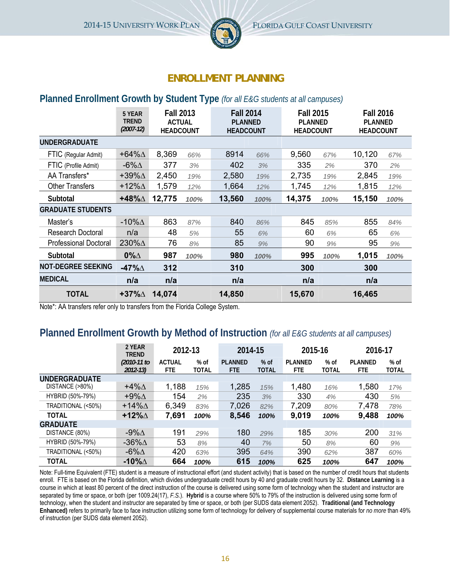

# **ENROLLMENT PLANNING**

### **Planned Enrollment Growth by Student Type** *(for all E&G students at all campuses)*

|                              | 5 YEAR<br><b>TREND</b><br>$(2007 - 12)$ | <b>Fall 2013</b><br><b>ACTUAL</b><br><b>HEADCOUNT</b> |      | <b>Fall 2014</b><br><b>PLANNED</b><br><b>HEADCOUNT</b> |      | <b>Fall 2015</b><br><b>PLANNED</b><br><b>HEADCOUNT</b> |      | <b>Fall 2016</b><br><b>PLANNED</b><br><b>HEADCOUNT</b> |      |
|------------------------------|-----------------------------------------|-------------------------------------------------------|------|--------------------------------------------------------|------|--------------------------------------------------------|------|--------------------------------------------------------|------|
| <b>UNDERGRADUATE</b>         |                                         |                                                       |      |                                                        |      |                                                        |      |                                                        |      |
| FTIC (Regular Admit)         | +64% $\Delta$                           | 8,369                                                 | 66%  | 8914                                                   | 66%  | 9,560                                                  | 67%  | 10,120                                                 | 67%  |
| FTIC (Profile Admit)         | -6% $\Delta$                            | 377                                                   | 3%   | 402                                                    | 3%   | 335                                                    | 2%   | 370                                                    | 2%   |
| AA Transfers*                | +39% $\Delta$                           | 2,450                                                 | 19%  | 2,580                                                  | 19%  | 2,735                                                  | 19%  | 2,845                                                  | 19%  |
| <b>Other Transfers</b>       | +12% $\Delta$                           | 1,579                                                 | 12%  | 1,664                                                  | 12%  | 1,745                                                  | 12%  | 1,815                                                  | 12%  |
| Subtotal                     | +48% $\Delta$                           | 12,775                                                | 100% | 13,560                                                 | 100% | 14,375                                                 | 100% | 15,150                                                 | 100% |
| <b>GRADUATE STUDENTS</b>     |                                         |                                                       |      |                                                        |      |                                                        |      |                                                        |      |
| Master's                     | -10% $\Delta$                           | 863                                                   | 87%  | 840                                                    | 86%  | 845                                                    | 85%  | 855                                                    | 84%  |
| <b>Research Doctoral</b>     | n/a                                     | 48                                                    | 5%   | 55                                                     | 6%   | 60                                                     | 6%   | 65                                                     | 6%   |
| <b>Professional Doctoral</b> | 230%A                                   | 76                                                    | 8%   | 85                                                     | 9%   | 90                                                     | 9%   | 95                                                     | 9%   |
| Subtotal                     | $0\%$ $\triangle$                       | 987                                                   | 100% | 980                                                    | 100% | 995                                                    | 100% | 1,015                                                  | 100% |
| <b>NOT-DEGREE SEEKING</b>    | -47% $\Delta$                           | 312                                                   |      | 310                                                    |      | 300                                                    |      | 300                                                    |      |
| <b>MEDICAL</b>               | n/a                                     | n/a                                                   |      | n/a                                                    |      | n/a                                                    |      | n/a                                                    |      |
| <b>TOTAL</b>                 | +37% $\Delta$                           | 14,074                                                |      | 14,850                                                 |      | 15,670                                                 |      | 16,465                                                 |      |

Note\*: AA transfers refer only to transfers from the Florida College System.

# **Planned Enrollment Growth by Method of Instruction** *(for all E&G students at all campuses)*

|                      | 2 YFAR<br><b>TREND</b>       | 2012-13               |                        | 2014-15                      |                        | 2015-16                |                        | 2016-17                      |                      |
|----------------------|------------------------------|-----------------------|------------------------|------------------------------|------------------------|------------------------|------------------------|------------------------------|----------------------|
|                      | $(2010 - 11)$ to<br>2012-13) | <b>ACTUAL</b><br>FTE. | $%$ of<br><b>TOTAL</b> | <b>PLANNED</b><br><b>FTE</b> | $%$ of<br><b>TOTAL</b> | <b>PLANNED</b><br>FTE. | $%$ of<br><b>TOTAL</b> | <b>PLANNED</b><br><b>FTE</b> | % of<br><b>TOTAL</b> |
| <b>UNDERGRADUATE</b> |                              |                       |                        |                              |                        |                        |                        |                              |                      |
| DISTANCE (>80%)      | $+4\%$ $\triangle$           | 1,188                 | 15%                    | 1,285                        | 15%                    | 1,480                  | 16%                    | 1,580                        | 17%                  |
| HYBRID (50%-79%)     | $+9\%$ $\Delta$              | 154                   | 2%                     | 235                          | 3%                     | 330                    | 4%                     | 430                          | 5%                   |
| TRADITIONAL (<50%)   | $+14\%$ $\triangle$          | 6,349                 | 83%                    | 7,026                        | 82%                    | 7,209                  | 80%                    | 7,478                        | 78%                  |
| <b>TOTAL</b>         | +12% $\Delta$                | 7,691                 | 100%                   | 8,546                        | 100%                   | 9,019                  | 100%                   | 9,488                        | 100%                 |
| <b>GRADUATE</b>      |                              |                       |                        |                              |                        |                        |                        |                              |                      |
| DISTANCE (80%)       | -9% $\Delta$                 | 191                   | 29%                    | 180                          | 29%                    | 185                    | 30%                    | 200                          | 31%                  |
| HYBRID (50%-79%)     | -36% $\Delta$                | 53                    | 8%                     | 40                           | 7%                     | 50                     | 8%                     | 60                           | 9%                   |
| TRADITIONAL (<50%)   | -6% $\Delta$                 | 420                   | 63%                    | 395                          | 64%                    | 390                    | 62%                    | 387                          | 60%                  |
| TOTAL                | -10% $\Delta$                | 664                   | 100%                   | 615                          | 100%                   | 625                    | 100%                   | 647                          | 100%                 |

Note: Full-time Equivalent (FTE) student is a measure of instructional effort (and student activity) that is based on the number of credit hours that students enroll. FTE is based on the Florida definition, which divides undergraduate credit hours by 40 and graduate credit hours by 32. Distance Learning is a course in which at least 80 percent of the direct instruction of the course is delivered using some form of technology when the student and instructor are separated by time or space, or both (per 1009.24(17), *F.S.*). **Hybrid** is a course where 50% to 79% of the instruction is delivered using some form of technology, when the student and instructor are separated by time or space, or both (per SUDS data element 2052). **Traditional (and Technology Enhanced)** refers to primarily face to face instruction utilizing some form of technology for delivery of supplemental course materials for *no more* than 49% of instruction (per SUDS data element 2052).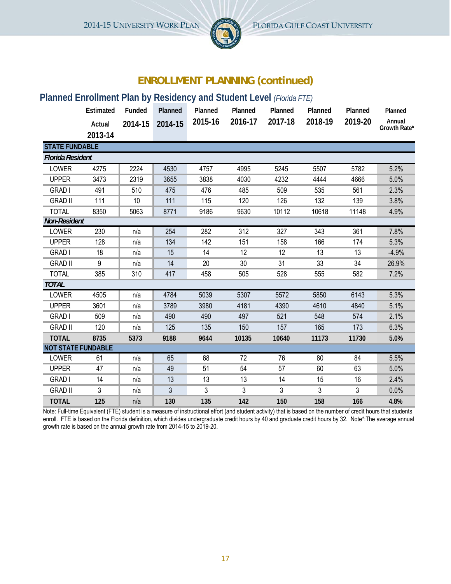

# **ENROLLMENT PLANNING (continued)**

# **Planned Enrollment Plan by Residency and Student Level** *(Florida FTE)*

|                           | Estimated | Funded  | Planned | Planned | Planned | Planned | Planned | Planned | Planned      |
|---------------------------|-----------|---------|---------|---------|---------|---------|---------|---------|--------------|
|                           | Actual    | 2014-15 | 2014-15 | 2015-16 | 2016-17 | 2017-18 | 2018-19 | 2019-20 | Annual       |
|                           | 2013-14   |         |         |         |         |         |         |         | Growth Rate* |
| <b>STATE FUNDABLE</b>     |           |         |         |         |         |         |         |         |              |
| <b>Florida Resident</b>   |           |         |         |         |         |         |         |         |              |
| <b>LOWER</b>              | 4275      | 2224    | 4530    | 4757    | 4995    | 5245    | 5507    | 5782    | 5.2%         |
| <b>UPPER</b>              | 3473      | 2319    | 3655    | 3838    | 4030    | 4232    | 4444    | 4666    | 5.0%         |
| <b>GRAD I</b>             | 491       | 510     | 475     | 476     | 485     | 509     | 535     | 561     | 2.3%         |
| <b>GRAD II</b>            | 111       | 10      | 111     | 115     | 120     | 126     | 132     | 139     | 3.8%         |
| <b>TOTAL</b>              | 8350      | 5063    | 8771    | 9186    | 9630    | 10112   | 10618   | 11148   | 4.9%         |
| <b>Non-Resident</b>       |           |         |         |         |         |         |         |         |              |
| LOWER                     | 230       | n/a     | 254     | 282     | 312     | 327     | 343     | 361     | 7.8%         |
| <b>UPPER</b>              | 128       | n/a     | 134     | 142     | 151     | 158     | 166     | 174     | 5.3%         |
| <b>GRAD I</b>             | 18        | n/a     | 15      | 14      | 12      | 12      | 13      | 13      | $-4.9%$      |
| <b>GRAD II</b>            | 9         | n/a     | 14      | 20      | 30      | 31      | 33      | 34      | 26.9%        |
| <b>TOTAL</b>              | 385       | 310     | 417     | 458     | 505     | 528     | 555     | 582     | 7.2%         |
| <b>TOTAL</b>              |           |         |         |         |         |         |         |         |              |
| LOWER                     | 4505      | n/a     | 4784    | 5039    | 5307    | 5572    | 5850    | 6143    | 5.3%         |
| <b>UPPER</b>              | 3601      | n/a     | 3789    | 3980    | 4181    | 4390    | 4610    | 4840    | 5.1%         |
| <b>GRAD I</b>             | 509       | n/a     | 490     | 490     | 497     | 521     | 548     | 574     | 2.1%         |
| <b>GRAD II</b>            | 120       | n/a     | 125     | 135     | 150     | 157     | 165     | 173     | 6.3%         |
| <b>TOTAL</b>              | 8735      | 5373    | 9188    | 9644    | 10135   | 10640   | 11173   | 11730   | 5.0%         |
| <b>NOT STATE FUNDABLE</b> |           |         |         |         |         |         |         |         |              |
| <b>LOWER</b>              | 61        | n/a     | 65      | 68      | 72      | 76      | 80      | 84      | 5.5%         |
| <b>UPPER</b>              | 47        | n/a     | 49      | 51      | 54      | 57      | 60      | 63      | 5.0%         |
| <b>GRAD</b> I             | 14        | n/a     | 13      | 13      | 13      | 14      | 15      | 16      | 2.4%         |
| <b>GRAD II</b>            | 3         | n/a     | 3       | 3       | 3       | 3       | 3       | 3       | 0.0%         |
| <b>TOTAL</b>              | 125       | n/a     | 130     | 135     | 142     | 150     | 158     | 166     | 4.8%         |

Note: Full-time Equivalent (FTE) student is a measure of instructional effort (and student activity) that is based on the number of credit hours that students enroll. FTE is based on the Florida definition, which divides undergraduate credit hours by 40 and graduate credit hours by 32. Note\*:The average annual growth rate is based on the annual growth rate from 2014-15 to 2019-20.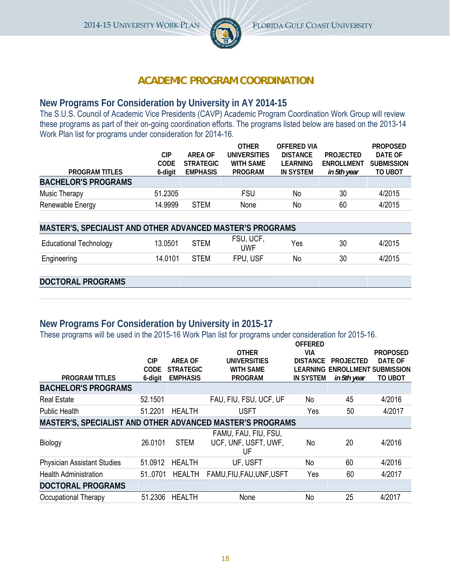

# **ACADEMIC PROGRAM COORDINATION**

## **New Programs For Consideration by University in AY 2014-15**

The S.U.S. Council of Academic Vice Presidents (CAVP) Academic Program Coordination Work Group will review these programs as part of their on-going coordination efforts. The programs listed below are based on the 2013-14 Work Plan list for programs under consideration for 2014-16.

|                            |             |                  | <b>OTHER</b>     | OFFFRED VIA     |                  | <b>PROPOSED</b>   |
|----------------------------|-------------|------------------|------------------|-----------------|------------------|-------------------|
|                            | CIP         | ARFA OF          | UNIVERSITIES     | <b>DISTANCE</b> | <b>PROJECTED</b> | DATE OF           |
|                            | <b>CODE</b> | <b>STRATEGIC</b> | <b>WITH SAME</b> | LEARNING        | ENROLLMENT       | <b>SUBMISSION</b> |
| <b>PROGRAM TITLES</b>      | 6-digit     | <b>EMPHASIS</b>  | <b>PROGRAM</b>   | IN SYSTEM       | in 5th year      | TO UBOT           |
| <b>BACHELOR'S PROGRAMS</b> |             |                  |                  |                 |                  |                   |
| Music Therapy              | 51.2305     |                  | <b>FSU</b>       | No              | 30               | 4/2015            |
| Renewable Energy           | 14.9999     | <b>STFM</b>      | None             | No              | 60               | 4/2015            |

| MASTER'S, SPECIALIST AND OTHER ADVANCED MASTER'S PROGRAMS |         |             |                         |     |    |        |  |  |
|-----------------------------------------------------------|---------|-------------|-------------------------|-----|----|--------|--|--|
| Educational Technology                                    | 13.0501 | <b>STEM</b> | FSU, UCF,<br><b>UWF</b> | Yes | 30 | 4/2015 |  |  |
| Engineering                                               | 14.0101 | <b>STEM</b> | FPU. USF                | No  | 30 | 4/2015 |  |  |

### **DOCTORAL PROGRAMS**

# **New Programs For Consideration by University in 2015-17**

These programs will be used in the 2015-16 Work Plan list for programs under consideration for 2015-16.

|                                                           |            |                  |                           | <b>OFFERED</b>   |                                |                 |
|-----------------------------------------------------------|------------|------------------|---------------------------|------------------|--------------------------------|-----------------|
|                                                           |            |                  | <b>OTHER</b>              | VIA              |                                | <b>PROPOSED</b> |
|                                                           | <b>CIP</b> | ARFA OF          | UNIVERSITIES              | <b>DISTANCE</b>  | PROJECTED                      | DATE OF         |
|                                                           | CODE       | <b>STRATEGIC</b> | <b>WITH SAME</b>          |                  | LEARNING ENROLLMENT SUBMISSION |                 |
| <b>PROGRAM TITLES</b>                                     | 6-digit    | <b>EMPHASIS</b>  | <b>PROGRAM</b>            | <b>IN SYSTEM</b> | in 5th year                    | TO UBOT         |
| <b>BACHELOR'S PROGRAMS</b>                                |            |                  |                           |                  |                                |                 |
| <b>Real Estate</b>                                        | 52.1501    |                  | FAU, FIU, FSU, UCF, UF    | No               | 45                             | 4/2016          |
| <b>Public Health</b>                                      | 51.2201    | <b>HEALTH</b>    | USFT                      | Yes              | 50                             | 4/2017          |
| MASTER'S, SPECIALIST AND OTHER ADVANCED MASTER'S PROGRAMS |            |                  |                           |                  |                                |                 |
|                                                           |            |                  | FAMU, FAU, FIU, FSU,      |                  |                                |                 |
| <b>Biology</b>                                            | 26.0101    | <b>STEM</b>      | UCF, UNF, USFT, UWF,      | No               | 20                             | 4/2016          |
|                                                           |            |                  | UF                        |                  |                                |                 |
| <b>Physician Assistant Studies</b>                        | 51.0912    | <b>HEALTH</b>    | UF, USFT                  | No               | 60                             | 4/2016          |
| <b>Health Administration</b>                              | 510701     | <b>HEALTH</b>    | FAMU, FIU, FAU, UNF, USFT | Yes              | 60                             | 4/2017          |
| <b>DOCTORAL PROGRAMS</b>                                  |            |                  |                           |                  |                                |                 |
| Occupational Therapy                                      | 51.2306    | <b>HEALTH</b>    | None                      | No               | 25                             | 4/2017          |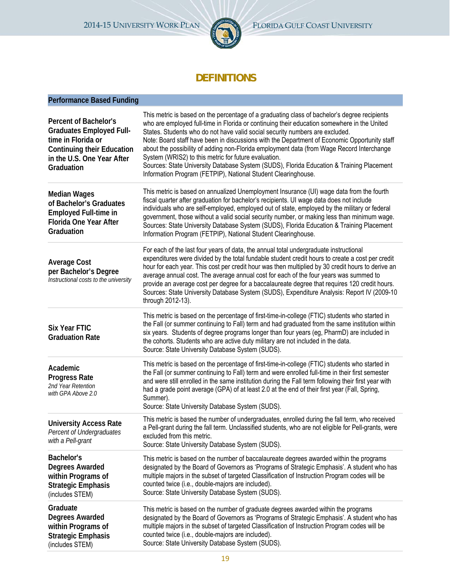

# **DEFINITIONS**

# **Performance Based Funding**

| Percent of Bachelor's<br><b>Graduates Employed Full-</b><br>time in Florida or<br><b>Continuing their Education</b><br>in the U.S. One Year After<br>Graduation | This metric is based on the percentage of a graduating class of bachelor's degree recipients<br>who are employed full-time in Florida or continuing their education somewhere in the United<br>States. Students who do not have valid social security numbers are excluded.<br>Note: Board staff have been in discussions with the Department of Economic Opportunity staff<br>about the possibility of adding non-Florida employment data (from Wage Record Interchange<br>System (WRIS2) to this metric for future evaluation.<br>Sources: State University Database System (SUDS), Florida Education & Training Placement<br>Information Program (FETPIP), National Student Clearinghouse. |
|-----------------------------------------------------------------------------------------------------------------------------------------------------------------|-----------------------------------------------------------------------------------------------------------------------------------------------------------------------------------------------------------------------------------------------------------------------------------------------------------------------------------------------------------------------------------------------------------------------------------------------------------------------------------------------------------------------------------------------------------------------------------------------------------------------------------------------------------------------------------------------|
| <b>Median Wages</b><br>of Bachelor's Graduates<br><b>Employed Full-time in</b><br><b>Florida One Year After</b><br>Graduation                                   | This metric is based on annualized Unemployment Insurance (UI) wage data from the fourth<br>fiscal quarter after graduation for bachelor's recipients. UI wage data does not include<br>individuals who are self-employed, employed out of state, employed by the military or federal<br>government, those without a valid social security number, or making less than minimum wage.<br>Sources: State University Database System (SUDS), Florida Education & Training Placement<br>Information Program (FETPIP), National Student Clearinghouse.                                                                                                                                             |
| <b>Average Cost</b><br>per Bachelor's Degree<br>Instructional costs to the university                                                                           | For each of the last four years of data, the annual total undergraduate instructional<br>expenditures were divided by the total fundable student credit hours to create a cost per credit<br>hour for each year. This cost per credit hour was then multiplied by 30 credit hours to derive an<br>average annual cost. The average annual cost for each of the four years was summed to<br>provide an average cost per degree for a baccalaureate degree that requires 120 credit hours.<br>Sources: State University Database System (SUDS), Expenditure Analysis: Report IV (2009-10<br>through 2012-13).                                                                                   |
| <b>Six Year FTIC</b><br><b>Graduation Rate</b>                                                                                                                  | This metric is based on the percentage of first-time-in-college (FTIC) students who started in<br>the Fall (or summer continuing to Fall) term and had graduated from the same institution within<br>six years. Students of degree programs longer than four years (eg, PharmD) are included in<br>the cohorts. Students who are active duty military are not included in the data.<br>Source: State University Database System (SUDS).                                                                                                                                                                                                                                                       |
| Academic<br><b>Progress Rate</b><br>2nd Year Retention<br>with GPA Above 2.0                                                                                    | This metric is based on the percentage of first-time-in-college (FTIC) students who started in<br>the Fall (or summer continuing to Fall) term and were enrolled full-time in their first semester<br>and were still enrolled in the same institution during the Fall term following their first year with<br>had a grade point average (GPA) of at least 2.0 at the end of their first year (Fall, Spring,<br>Summer).<br>Source: State University Database System (SUDS).                                                                                                                                                                                                                   |
| <b>University Access Rate</b><br>Percent of Undergraduates<br>with a Pell-grant                                                                                 | This metric is based the number of undergraduates, enrolled during the fall term, who received<br>a Pell-grant during the fall term. Unclassified students, who are not eligible for Pell-grants, were<br>excluded from this metric.<br>Source: State University Database System (SUDS).                                                                                                                                                                                                                                                                                                                                                                                                      |
| Bachelor's<br><b>Degrees Awarded</b><br>within Programs of<br><b>Strategic Emphasis</b><br>(includes STEM)                                                      | This metric is based on the number of baccalaureate degrees awarded within the programs<br>designated by the Board of Governors as 'Programs of Strategic Emphasis'. A student who has<br>multiple majors in the subset of targeted Classification of Instruction Program codes will be<br>counted twice (i.e., double-majors are included).<br>Source: State University Database System (SUDS).                                                                                                                                                                                                                                                                                              |
| Graduate<br><b>Degrees Awarded</b><br>within Programs of<br><b>Strategic Emphasis</b><br>(includes STEM)                                                        | This metric is based on the number of graduate degrees awarded within the programs<br>designated by the Board of Governors as 'Programs of Strategic Emphasis'. A student who has<br>multiple majors in the subset of targeted Classification of Instruction Program codes will be<br>counted twice (i.e., double-majors are included).<br>Source: State University Database System (SUDS).                                                                                                                                                                                                                                                                                                   |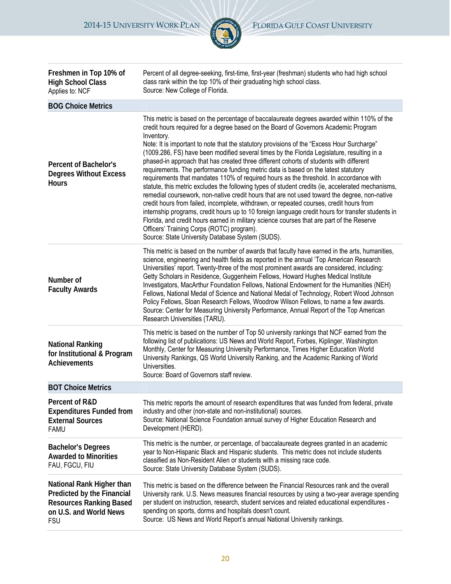

| Freshmen in Top 10% of<br><b>High School Class</b><br>Applies to: NCF                                                             | Percent of all degree-seeking, first-time, first-year (freshman) students who had high school<br>class rank within the top 10% of their graduating high school class.<br>Source: New College of Florida.                                                                                                                                                                                                                                                                                                                                                                                                                                                                                                                                                                                                                                                                                                                                                                                                                                                                                                                                                                                                                                                                 |
|-----------------------------------------------------------------------------------------------------------------------------------|--------------------------------------------------------------------------------------------------------------------------------------------------------------------------------------------------------------------------------------------------------------------------------------------------------------------------------------------------------------------------------------------------------------------------------------------------------------------------------------------------------------------------------------------------------------------------------------------------------------------------------------------------------------------------------------------------------------------------------------------------------------------------------------------------------------------------------------------------------------------------------------------------------------------------------------------------------------------------------------------------------------------------------------------------------------------------------------------------------------------------------------------------------------------------------------------------------------------------------------------------------------------------|
| <b>BOG Choice Metrics</b>                                                                                                         |                                                                                                                                                                                                                                                                                                                                                                                                                                                                                                                                                                                                                                                                                                                                                                                                                                                                                                                                                                                                                                                                                                                                                                                                                                                                          |
| <b>Percent of Bachelor's</b><br><b>Degrees Without Excess</b><br><b>Hours</b>                                                     | This metric is based on the percentage of baccalaureate degrees awarded within 110% of the<br>credit hours required for a degree based on the Board of Governors Academic Program<br>Inventory.<br>Note: It is important to note that the statutory provisions of the "Excess Hour Surcharge"<br>(1009.286, FS) have been modified several times by the Florida Legislature, resulting in a<br>phased-in approach that has created three different cohorts of students with different<br>requirements. The performance funding metric data is based on the latest statutory<br>requirements that mandates 110% of required hours as the threshold. In accordance with<br>statute, this metric excludes the following types of student credits (ie, accelerated mechanisms,<br>remedial coursework, non-native credit hours that are not used toward the degree, non-native<br>credit hours from failed, incomplete, withdrawn, or repeated courses, credit hours from<br>internship programs, credit hours up to 10 foreign language credit hours for transfer students in<br>Florida, and credit hours earned in military science courses that are part of the Reserve<br>Officers' Training Corps (ROTC) program).<br>Source: State University Database System (SUDS). |
| Number of<br><b>Faculty Awards</b>                                                                                                | This metric is based on the number of awards that faculty have earned in the arts, humanities,<br>science, engineering and health fields as reported in the annual 'Top American Research<br>Universities' report. Twenty-three of the most prominent awards are considered, including:<br>Getty Scholars in Residence, Guggenheim Fellows, Howard Hughes Medical Institute<br>Investigators, MacArthur Foundation Fellows, National Endowment for the Humanities (NEH)<br>Fellows, National Medal of Science and National Medal of Technology, Robert Wood Johnson<br>Policy Fellows, Sloan Research Fellows, Woodrow Wilson Fellows, to name a few awards.<br>Source: Center for Measuring University Performance, Annual Report of the Top American<br>Research Universities (TARU).                                                                                                                                                                                                                                                                                                                                                                                                                                                                                  |
| <b>National Ranking</b><br>for Institutional & Program<br><b>Achievements</b>                                                     | This metric is based on the number of Top 50 university rankings that NCF earned from the<br>following list of publications: US News and World Report, Forbes, Kiplinger, Washington<br>Monthly, Center for Measuring University Performance, Times Higher Education World<br>University Rankings, QS World University Ranking, and the Academic Ranking of World<br>Universities.<br>Source: Board of Governors staff review.                                                                                                                                                                                                                                                                                                                                                                                                                                                                                                                                                                                                                                                                                                                                                                                                                                           |
| <b>BOT Choice Metrics</b>                                                                                                         |                                                                                                                                                                                                                                                                                                                                                                                                                                                                                                                                                                                                                                                                                                                                                                                                                                                                                                                                                                                                                                                                                                                                                                                                                                                                          |
| Percent of R&D<br><b>Expenditures Funded from</b><br><b>External Sources</b><br><b>FAMU</b>                                       | This metric reports the amount of research expenditures that was funded from federal, private<br>industry and other (non-state and non-institutional) sources.<br>Source: National Science Foundation annual survey of Higher Education Research and<br>Development (HERD).                                                                                                                                                                                                                                                                                                                                                                                                                                                                                                                                                                                                                                                                                                                                                                                                                                                                                                                                                                                              |
| <b>Bachelor's Degrees</b><br><b>Awarded to Minorities</b><br>FAU, FGCU, FIU                                                       | This metric is the number, or percentage, of baccalaureate degrees granted in an academic<br>year to Non-Hispanic Black and Hispanic students. This metric does not include students<br>classified as Non-Resident Alien or students with a missing race code.<br>Source: State University Database System (SUDS).                                                                                                                                                                                                                                                                                                                                                                                                                                                                                                                                                                                                                                                                                                                                                                                                                                                                                                                                                       |
| National Rank Higher than<br>Predicted by the Financial<br><b>Resources Ranking Based</b><br>on U.S. and World News<br><b>FSU</b> | This metric is based on the difference between the Financial Resources rank and the overall<br>University rank. U.S. News measures financial resources by using a two-year average spending<br>per student on instruction, research, student services and related educational expenditures -<br>spending on sports, dorms and hospitals doesn't count.<br>Source: US News and World Report's annual National University rankings.                                                                                                                                                                                                                                                                                                                                                                                                                                                                                                                                                                                                                                                                                                                                                                                                                                        |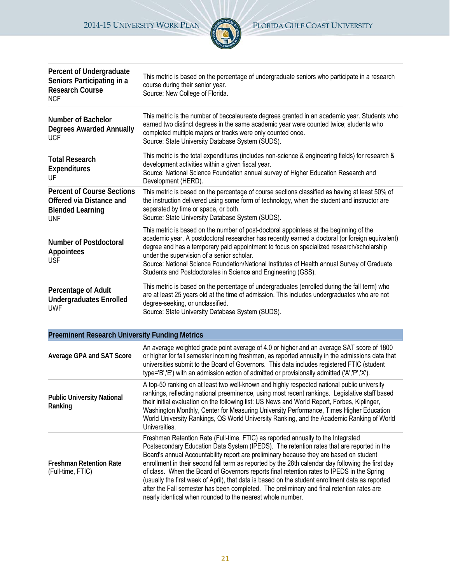

| Percent of Undergraduate<br>Seniors Participating in a<br><b>Research Course</b><br><b>NCF</b>         | This metric is based on the percentage of undergraduate seniors who participate in a research<br>course during their senior year.<br>Source: New College of Florida.                                                                                                                                                                                                                                                                                                                                |
|--------------------------------------------------------------------------------------------------------|-----------------------------------------------------------------------------------------------------------------------------------------------------------------------------------------------------------------------------------------------------------------------------------------------------------------------------------------------------------------------------------------------------------------------------------------------------------------------------------------------------|
| <b>Number of Bachelor</b><br><b>Degrees Awarded Annually</b><br><b>UCF</b>                             | This metric is the number of baccalaureate degrees granted in an academic year. Students who<br>earned two distinct degrees in the same academic year were counted twice; students who<br>completed multiple majors or tracks were only counted once.<br>Source: State University Database System (SUDS).                                                                                                                                                                                           |
| <b>Total Research</b><br><b>Expenditures</b><br>UF                                                     | This metric is the total expenditures (includes non-science & engineering fields) for research &<br>development activities within a given fiscal year.<br>Source: National Science Foundation annual survey of Higher Education Research and<br>Development (HERD).                                                                                                                                                                                                                                 |
| <b>Percent of Course Sections</b><br>Offered via Distance and<br><b>Blended Learning</b><br><b>UNF</b> | This metric is based on the percentage of course sections classified as having at least 50% of<br>the instruction delivered using some form of technology, when the student and instructor are<br>separated by time or space, or both.<br>Source: State University Database System (SUDS).                                                                                                                                                                                                          |
| <b>Number of Postdoctoral</b><br>Appointees<br><b>USF</b>                                              | This metric is based on the number of post-doctoral appointees at the beginning of the<br>academic year. A postdoctoral researcher has recently earned a doctoral (or foreign equivalent)<br>degree and has a temporary paid appointment to focus on specialized research/scholarship<br>under the supervision of a senior scholar.<br>Source: National Science Foundation/National Institutes of Health annual Survey of Graduate<br>Students and Postdoctorates in Science and Engineering (GSS). |
| Percentage of Adult<br><b>Undergraduates Enrolled</b><br><b>UWF</b>                                    | This metric is based on the percentage of undergraduates (enrolled during the fall term) who<br>are at least 25 years old at the time of admission. This includes undergraduates who are not<br>degree-seeking, or unclassified.<br>Source: State University Database System (SUDS).                                                                                                                                                                                                                |

| <b>Preeminent Research University Funding Metrics</b> |                                                                                                                                                                                                                                                                                                                                                                                                                                                                                                                                                                                                                                                                                                                                           |
|-------------------------------------------------------|-------------------------------------------------------------------------------------------------------------------------------------------------------------------------------------------------------------------------------------------------------------------------------------------------------------------------------------------------------------------------------------------------------------------------------------------------------------------------------------------------------------------------------------------------------------------------------------------------------------------------------------------------------------------------------------------------------------------------------------------|
| Average GPA and SAT Score                             | An average weighted grade point average of 4.0 or higher and an average SAT score of 1800<br>or higher for fall semester incoming freshmen, as reported annually in the admissions data that<br>universities submit to the Board of Governors. This data includes registered FTIC (student<br>type='B','E') with an admission action of admitted or provisionally admitted ('A','P','X').                                                                                                                                                                                                                                                                                                                                                 |
| <b>Public University National</b><br>Ranking          | A top-50 ranking on at least two well-known and highly respected national public university<br>rankings, reflecting national preeminence, using most recent rankings. Legislative staff based<br>their initial evaluation on the following list: US News and World Report, Forbes, Kiplinger,<br>Washington Monthly, Center for Measuring University Performance, Times Higher Education<br>World University Rankings, QS World University Ranking, and the Academic Ranking of World<br>Universities.                                                                                                                                                                                                                                    |
| <b>Freshman Retention Rate</b><br>(Full-time, FTIC)   | Freshman Retention Rate (Full-time, FTIC) as reported annually to the Integrated<br>Postsecondary Education Data System (IPEDS). The retention rates that are reported in the<br>Board's annual Accountability report are preliminary because they are based on student<br>enrollment in their second fall term as reported by the 28th calendar day following the first day<br>of class. When the Board of Governors reports final retention rates to IPEDS in the Spring<br>(usually the first week of April), that data is based on the student enrollment data as reported<br>after the Fall semester has been completed. The preliminary and final retention rates are<br>nearly identical when rounded to the nearest whole number. |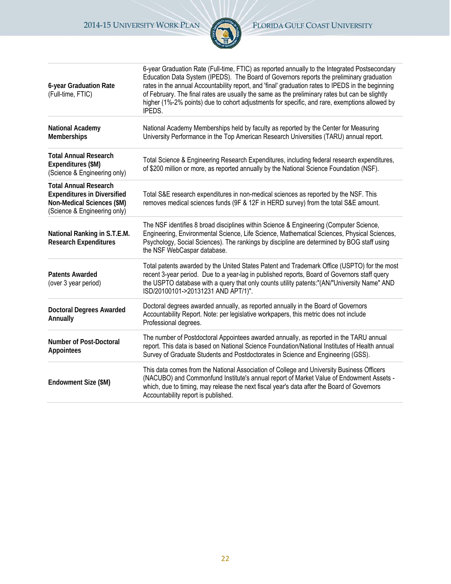

| 6-year Graduation Rate<br>(Full-time, FTIC)                                                                                      | 6-year Graduation Rate (Full-time, FTIC) as reported annually to the Integrated Postsecondary<br>Education Data System (IPEDS). The Board of Governors reports the preliminary graduation<br>rates in the annual Accountability report, and 'final' graduation rates to IPEDS in the beginning<br>of February. The final rates are usually the same as the preliminary rates but can be slightly<br>higher (1%-2% points) due to cohort adjustments for specific, and rare, exemptions allowed by<br>IPEDS. |  |
|----------------------------------------------------------------------------------------------------------------------------------|-------------------------------------------------------------------------------------------------------------------------------------------------------------------------------------------------------------------------------------------------------------------------------------------------------------------------------------------------------------------------------------------------------------------------------------------------------------------------------------------------------------|--|
| National Academy<br>Memberships                                                                                                  | National Academy Memberships held by faculty as reported by the Center for Measuring<br>University Performance in the Top American Research Universities (TARU) annual report.                                                                                                                                                                                                                                                                                                                              |  |
| <b>Total Annual Research</b><br>Expenditures (\$M)<br>(Science & Engineering only)                                               | Total Science & Engineering Research Expenditures, including federal research expenditures,<br>of \$200 million or more, as reported annually by the National Science Foundation (NSF).                                                                                                                                                                                                                                                                                                                     |  |
| <b>Total Annual Research</b><br><b>Expenditures in Diversified</b><br>Non-Medical Sciences (\$M)<br>(Science & Engineering only) | Total S&E research expenditures in non-medical sciences as reported by the NSF. This<br>removes medical sciences funds (9F & 12F in HERD survey) from the total S&E amount.                                                                                                                                                                                                                                                                                                                                 |  |
| National Ranking in S.T.E.M.<br><b>Research Expenditures</b>                                                                     | The NSF identifies 8 broad disciplines within Science & Engineering (Computer Science,<br>Engineering, Environmental Science, Life Science, Mathematical Sciences, Physical Sciences,<br>Psychology, Social Sciences). The rankings by discipline are determined by BOG staff using<br>the NSF WebCaspar database.                                                                                                                                                                                          |  |
| <b>Patents Awarded</b><br>(over 3 year period)                                                                                   | Total patents awarded by the United States Patent and Trademark Office (USPTO) for the most<br>recent 3-year period. Due to a year-lag in published reports, Board of Governors staff query<br>the USPTO database with a query that only counts utility patents:"(AN/"University Name" AND<br>ISD/20100101->20131231 AND APT/1)".                                                                                                                                                                           |  |
| <b>Doctoral Degrees Awarded</b><br>Annually                                                                                      | Doctoral degrees awarded annually, as reported annually in the Board of Governors<br>Accountability Report. Note: per legislative workpapers, this metric does not include<br>Professional degrees.                                                                                                                                                                                                                                                                                                         |  |
| Number of Post-Doctoral<br>Appointees                                                                                            | The number of Postdoctoral Appointees awarded annually, as reported in the TARU annual<br>report. This data is based on National Science Foundation/National Institutes of Health annual<br>Survey of Graduate Students and Postdoctorates in Science and Engineering (GSS).                                                                                                                                                                                                                                |  |
| Endowment Size (\$M)                                                                                                             | This data comes from the National Association of College and University Business Officers<br>(NACUBO) and Commonfund Institute's annual report of Market Value of Endowment Assets -<br>which, due to timing, may release the next fiscal year's data after the Board of Governors<br>Accountability report is published.                                                                                                                                                                                   |  |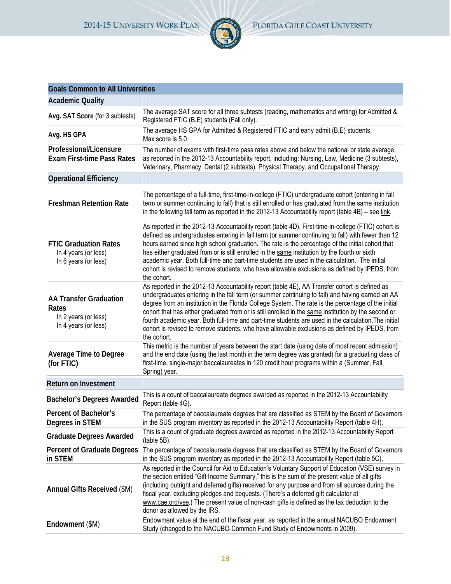**Goals Common to All Universities**



| <b>Academic Quality</b>                                                                |                                                                                                                                                                                                                                                                                                                                                                                                                                                                                                                                                                                                                                        |  |
|----------------------------------------------------------------------------------------|----------------------------------------------------------------------------------------------------------------------------------------------------------------------------------------------------------------------------------------------------------------------------------------------------------------------------------------------------------------------------------------------------------------------------------------------------------------------------------------------------------------------------------------------------------------------------------------------------------------------------------------|--|
| Avg. SAT Score (for 3 subtests)                                                        | The average SAT score for all three subtests (reading, mathematics and writing) for Admitted &<br>Registered FTIC (B,E) students (Fall only).                                                                                                                                                                                                                                                                                                                                                                                                                                                                                          |  |
| Avg. HS GPA                                                                            | The average HS GPA for Admitted & Registered FTIC and early admit (B,E) students.<br>Max score is 5.0.                                                                                                                                                                                                                                                                                                                                                                                                                                                                                                                                 |  |
| Professional/Licensure<br><b>Exam First-time Pass Rates</b>                            | The number of exams with first-time pass rates above and below the national or state average,<br>as reported in the 2012-13 Accountability report, including: Nursing, Law, Medicine (3 subtests),<br>Veterinary, Pharmacy, Dental (2 subtests), Physical Therapy, and Occupational Therapy.                                                                                                                                                                                                                                                                                                                                           |  |
| <b>Operational Efficiency</b>                                                          |                                                                                                                                                                                                                                                                                                                                                                                                                                                                                                                                                                                                                                        |  |
| <b>Freshman Retention Rate</b>                                                         | The percentage of a full-time, first-time-in-college (FTIC) undergraduate cohort (entering in fall<br>term or summer continuing to fall) that is still enrolled or has graduated from the same institution<br>in the following fall term as reported in the 2012-13 Accountability report (table 4B) - see link.                                                                                                                                                                                                                                                                                                                       |  |
| <b>FTIC Graduation Rates</b><br>In 4 years (or less)<br>In 6 years (or less)           | As reported in the 2012-13 Accountability report (table 4D), First-time-in-college (FTIC) cohort is<br>defined as undergraduates entering in fall term (or summer continuing to fall) with fewer than 12<br>hours earned since high school graduation. The rate is the percentage of the initial cohort that<br>has either graduated from or is still enrolled in the same institution by the fourth or sixth<br>academic year. Both full-time and part-time students are used in the calculation. The initial<br>cohort is revised to remove students, who have allowable exclusions as defined by IPEDS, from<br>the cohort.         |  |
| <b>AA Transfer Graduation</b><br>Rates<br>In 2 years (or less)<br>In 4 years (or less) | As reported in the 2012-13 Accountability report (table 4E), AA Transfer cohort is defined as<br>undergraduates entering in the fall term (or summer continuing to fall) and having earned an AA<br>degree from an institution in the Florida College System. The rate is the percentage of the initial<br>cohort that has either graduated from or is still enrolled in the same institution by the second or<br>fourth academic year. Both full-time and part-time students are used in the calculation. The initial<br>cohort is revised to remove students, who have allowable exclusions as defined by IPEDS, from<br>the cohort. |  |
| <b>Average Time to Degree</b><br>(for FTIC)                                            | This metric is the number of years between the start date (using date of most recent admission)<br>and the end date (using the last month in the term degree was granted) for a graduating class of<br>first-time, single-major baccalaureates in 120 credit hour programs within a (Summer, Fall,<br>Spring) year.                                                                                                                                                                                                                                                                                                                    |  |
| <b>Return on Investment</b>                                                            |                                                                                                                                                                                                                                                                                                                                                                                                                                                                                                                                                                                                                                        |  |
| <b>Bachelor's Degrees Awarded</b>                                                      | This is a count of baccalaureate degrees awarded as reported in the 2012-13 Accountability<br>Report (table 4G).                                                                                                                                                                                                                                                                                                                                                                                                                                                                                                                       |  |
| Percent of Bachelor's<br>Degrees in STEM                                               | The percentage of baccalaureate degrees that are classified as STEM by the Board of Governors<br>in the SUS program inventory as reported in the 2012-13 Accountability Report (table 4H).                                                                                                                                                                                                                                                                                                                                                                                                                                             |  |
| <b>Graduate Degrees Awarded</b>                                                        | This is a count of graduate degrees awarded as reported in the 2012-13 Accountability Report<br>(table 5B).                                                                                                                                                                                                                                                                                                                                                                                                                                                                                                                            |  |
| <b>Percent of Graduate Degrees</b><br>in STEM                                          | The percentage of baccalaureate degrees that are classified as STEM by the Board of Governors<br>in the SUS program inventory as reported in the 2012-13 Accountability Report (table 5C).                                                                                                                                                                                                                                                                                                                                                                                                                                             |  |
| Annual Gifts Received (\$M)                                                            | As reported in the Council for Aid to Education's Voluntary Support of Education (VSE) survey in<br>the section entitled "Gift Income Summary," this is the sum of the present value of all gifts<br>(including outright and deferred gifts) received for any purpose and from all sources during the<br>fiscal year, excluding pledges and bequests. (There's a deferred gift calculator at<br>www.cae.org/vse.) The present value of non-cash gifts is defined as the tax deduction to the<br>donor as allowed by the IRS.                                                                                                           |  |
| Endowment (\$M)                                                                        | Endowment value at the end of the fiscal year, as reported in the annual NACUBO Endowment<br>Study (changed to the NACUBO-Common Fund Study of Endowments in 2009).                                                                                                                                                                                                                                                                                                                                                                                                                                                                    |  |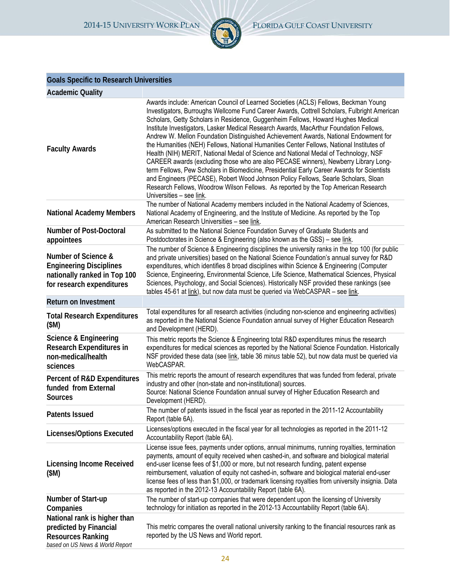

# **Goals Specific to Research Universities**

| <b>Academic Quality</b>                                                                                               |                                                                                                                                                                                                                                                                                                                                                                                                                                                                                                                                                                                                                                                                                                                                                                                                                                                                                                                                                                                                                                          |  |
|-----------------------------------------------------------------------------------------------------------------------|------------------------------------------------------------------------------------------------------------------------------------------------------------------------------------------------------------------------------------------------------------------------------------------------------------------------------------------------------------------------------------------------------------------------------------------------------------------------------------------------------------------------------------------------------------------------------------------------------------------------------------------------------------------------------------------------------------------------------------------------------------------------------------------------------------------------------------------------------------------------------------------------------------------------------------------------------------------------------------------------------------------------------------------|--|
| <b>Faculty Awards</b>                                                                                                 | Awards include: American Council of Learned Societies (ACLS) Fellows, Beckman Young<br>Investigators, Burroughs Wellcome Fund Career Awards, Cottrell Scholars, Fulbright American<br>Scholars, Getty Scholars in Residence, Guggenheim Fellows, Howard Hughes Medical<br>Institute Investigators, Lasker Medical Research Awards, MacArthur Foundation Fellows,<br>Andrew W. Mellon Foundation Distinguished Achievement Awards, National Endowment for<br>the Humanities (NEH) Fellows, National Humanities Center Fellows, National Institutes of<br>Health (NIH) MERIT, National Medal of Science and National Medal of Technology, NSF<br>CAREER awards (excluding those who are also PECASE winners), Newberry Library Long-<br>term Fellows, Pew Scholars in Biomedicine, Presidential Early Career Awards for Scientists<br>and Engineers (PECASE), Robert Wood Johnson Policy Fellows, Searle Scholars, Sloan<br>Research Fellows, Woodrow Wilson Fellows. As reported by the Top American Research<br>Universities - see link. |  |
| <b>National Academy Members</b>                                                                                       | The number of National Academy members included in the National Academy of Sciences,<br>National Academy of Engineering, and the Institute of Medicine. As reported by the Top<br>American Research Universities - see link.                                                                                                                                                                                                                                                                                                                                                                                                                                                                                                                                                                                                                                                                                                                                                                                                             |  |
| <b>Number of Post-Doctoral</b><br>appointees                                                                          | As submitted to the National Science Foundation Survey of Graduate Students and<br>Postdoctorates in Science & Engineering (also known as the GSS) - see link.                                                                                                                                                                                                                                                                                                                                                                                                                                                                                                                                                                                                                                                                                                                                                                                                                                                                           |  |
| Number of Science &<br><b>Engineering Disciplines</b><br>nationally ranked in Top 100<br>for research expenditures    | The number of Science & Engineering disciplines the university ranks in the top 100 (for public<br>and private universities) based on the National Science Foundation's annual survey for R&D<br>expenditures, which identifies 8 broad disciplines within Science & Engineering (Computer<br>Science, Engineering, Environmental Science, Life Science, Mathematical Sciences, Physical<br>Sciences, Psychology, and Social Sciences). Historically NSF provided these rankings (see<br>tables 45-61 at link), but now data must be queried via WebCASPAR - see link.                                                                                                                                                                                                                                                                                                                                                                                                                                                                   |  |
| <b>Return on Investment</b>                                                                                           |                                                                                                                                                                                                                                                                                                                                                                                                                                                                                                                                                                                                                                                                                                                                                                                                                                                                                                                                                                                                                                          |  |
| <b>Total Research Expenditures</b><br>(SM)                                                                            | Total expenditures for all research activities (including non-science and engineering activities)<br>as reported in the National Science Foundation annual survey of Higher Education Research<br>and Development (HERD).                                                                                                                                                                                                                                                                                                                                                                                                                                                                                                                                                                                                                                                                                                                                                                                                                |  |
| Science & Engineering<br><b>Research Expenditures in</b><br>non-medical/health<br>sciences                            | This metric reports the Science & Engineering total R&D expenditures minus the research<br>expenditures for medical sciences as reported by the National Science Foundation. Historically<br>NSF provided these data (see link, table 36 <i>minus</i> table 52), but now data must be queried via<br>WebCASPAR.                                                                                                                                                                                                                                                                                                                                                                                                                                                                                                                                                                                                                                                                                                                          |  |
| <b>Percent of R&amp;D Expenditures</b><br>funded from External<br><b>Sources</b>                                      | This metric reports the amount of research expenditures that was funded from federal, private<br>industry and other (non-state and non-institutional) sources.<br>Source: National Science Foundation annual survey of Higher Education Research and<br>Development (HERD).                                                                                                                                                                                                                                                                                                                                                                                                                                                                                                                                                                                                                                                                                                                                                              |  |
| <b>Patents Issued</b>                                                                                                 | The number of patents issued in the fiscal year as reported in the 2011-12 Accountability<br>Report (table 6A).                                                                                                                                                                                                                                                                                                                                                                                                                                                                                                                                                                                                                                                                                                                                                                                                                                                                                                                          |  |
| <b>Licenses/Options Executed</b>                                                                                      | Licenses/options executed in the fiscal year for all technologies as reported in the 2011-12<br>Accountability Report (table 6A).                                                                                                                                                                                                                                                                                                                                                                                                                                                                                                                                                                                                                                                                                                                                                                                                                                                                                                        |  |
| <b>Licensing Income Received</b><br>(\$M)                                                                             | License issue fees, payments under options, annual minimums, running royalties, termination<br>payments, amount of equity received when cashed-in, and software and biological material<br>end-user license fees of \$1,000 or more, but not research funding, patent expense<br>reimbursement, valuation of equity not cashed-in, software and biological material end-user<br>license fees of less than \$1,000, or trademark licensing royalties from university insignia. Data<br>as reported in the 2012-13 Accountability Report (table 6A).                                                                                                                                                                                                                                                                                                                                                                                                                                                                                       |  |
| Number of Start-up<br>Companies                                                                                       | The number of start-up companies that were dependent upon the licensing of University<br>technology for initiation as reported in the 2012-13 Accountability Report (table 6A).                                                                                                                                                                                                                                                                                                                                                                                                                                                                                                                                                                                                                                                                                                                                                                                                                                                          |  |
| National rank is higher than<br>predicted by Financial<br><b>Resources Ranking</b><br>based on US News & World Report | This metric compares the overall national university ranking to the financial resources rank as<br>reported by the US News and World report.                                                                                                                                                                                                                                                                                                                                                                                                                                                                                                                                                                                                                                                                                                                                                                                                                                                                                             |  |